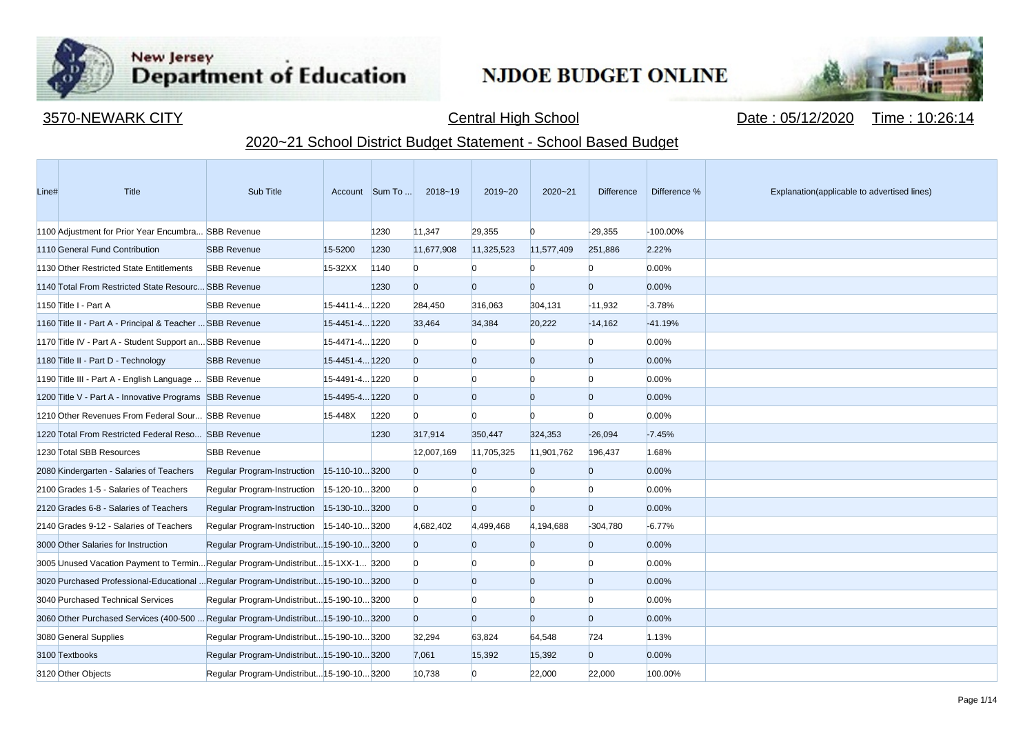

**Contract Contract** 

## New Jersey<br>Department of Education

## **NJDOE BUDGET ONLINE**



3570-NEWARK CITY **CENTRAL CITY** Central High School Central High School Date : 05/12/2020 Time : 10:26:14

## 2020~21 School District Budget Statement - School Based Budget

| Line# | <b>Title</b>                                                                      | Sub Title                                  |                | Account Sum To | $2018 - 19$    | 2019~20        | $2020 - 21$    | <b>Difference</b> | Difference % | Explanation(applicable to advertised lines) |
|-------|-----------------------------------------------------------------------------------|--------------------------------------------|----------------|----------------|----------------|----------------|----------------|-------------------|--------------|---------------------------------------------|
|       | 1100 Adjustment for Prior Year Encumbra SBB Revenue                               |                                            |                | 1230           | 11,347         | 29,355         | $\Omega$       | $-29,355$         | -100.00%     |                                             |
|       | 1110 General Fund Contribution                                                    | <b>SBB Revenue</b>                         | 15-5200        | 1230           | 11,677,908     | 11,325,523     | 11,577,409     | 251,886           | 2.22%        |                                             |
|       | 1130 Other Restricted State Entitlements                                          | <b>SBB Revenue</b>                         | $15-32XX$      | 1140           | $\Omega$       | n              |                | n                 | 0.00%        |                                             |
|       | 1140 Total From Restricted State Resourc SBB Revenue                              |                                            |                | 1230           | $\overline{0}$ | $\overline{0}$ | $\Omega$       | $\overline{0}$    | 0.00%        |                                             |
|       | 1150 Title I - Part A                                                             | <b>SBB Revenue</b>                         | 15-4411-4 1220 |                | 284,450        | 316,063        | 304,131        | $-11,932$         | $-3.78%$     |                                             |
|       | 1160 Title II - Part A - Principal & Teacher  SBB Revenue                         |                                            | 15-4451-4 1220 |                | 33,464         | 34,384         | 20,222         | $-14,162$         | $-41.19%$    |                                             |
|       | 1170 Title IV - Part A - Student Support an SBB Revenue                           |                                            | 15-4471-4 1220 |                | $\Omega$       |                | n              | $\Omega$          | 0.00%        |                                             |
|       | 1180 Title II - Part D - Technology                                               | <b>SBB Revenue</b>                         | 15-4451-4 1220 |                | $\Omega$       | $\overline{0}$ | $\overline{0}$ | $\overline{0}$    | 0.00%        |                                             |
|       | 1190 Title III - Part A - English Language  SBB Revenue                           |                                            | 15-4491-4 1220 |                | $\Omega$       | n              | n              | n                 | 0.00%        |                                             |
|       | 1200 Title V - Part A - Innovative Programs SBB Revenue                           |                                            | 15-4495-4 1220 |                | $\overline{0}$ | $\overline{0}$ | $\overline{0}$ | $\overline{0}$    | 0.00%        |                                             |
|       | 1210 Other Revenues From Federal Sour SBB Revenue                                 |                                            | 15-448X        | 1220           | $\Omega$       | n              |                | n                 | 0.00%        |                                             |
|       | 1220 Total From Restricted Federal Reso SBB Revenue                               |                                            |                | 1230           | 317,914        | 350,447        | 324,353        | $-26,094$         | $-7.45%$     |                                             |
|       | 1230 Total SBB Resources                                                          | <b>SBB Revenue</b>                         |                |                | 12,007,169     | 11,705,325     | 11,901,762     | 196,437           | 1.68%        |                                             |
|       | 2080 Kindergarten - Salaries of Teachers                                          | Regular Program-Instruction 15-110-103200  |                |                | $\overline{0}$ | $\overline{0}$ | $\overline{0}$ | $\overline{0}$    | 0.00%        |                                             |
|       | 2100 Grades 1-5 - Salaries of Teachers                                            | Regular Program-Instruction 15-120-10 3200 |                |                | $\Omega$       | n              |                | n                 | 0.00%        |                                             |
|       | 2120 Grades 6-8 - Salaries of Teachers                                            | Regular Program-Instruction 15-130-103200  |                |                | $\overline{0}$ | $\overline{0}$ | $\overline{0}$ | $\overline{0}$    | 0.00%        |                                             |
|       | 2140 Grades 9-12 - Salaries of Teachers                                           | Regular Program-Instruction 15-140-103200  |                |                | 4,682,402      | 4,499,468      | 4,194,688      | $-304,780$        | $-6.77%$     |                                             |
|       | 3000 Other Salaries for Instruction                                               | Regular Program-Undistribut 15-190-10 3200 |                |                | $\Omega$       | $\overline{0}$ | $\overline{0}$ | $\overline{0}$    | 0.00%        |                                             |
|       | 3005 Unused Vacation Payment to TerminRegular Program-Undistribut15-1XX-1 3200    |                                            |                |                | $\overline{0}$ |                | n              | $\Omega$          | 0.00%        |                                             |
|       | 3020 Purchased Professional-Educational Regular Program-Undistribut15-190-103200  |                                            |                |                | $\overline{0}$ | $\overline{0}$ | $\overline{0}$ | $\mathbf{0}$      | 0.00%        |                                             |
|       | 3040 Purchased Technical Services                                                 | Regular Program-Undistribut 15-190-10 3200 |                |                | $\Omega$       | n              | n              | n                 | 0.00%        |                                             |
|       | 3060 Other Purchased Services (400-500  Regular Program-Undistribut15-190-10 3200 |                                            |                |                | $\overline{0}$ | $\overline{0}$ | $\overline{0}$ | $\overline{0}$    | 0.00%        |                                             |
|       | 3080 General Supplies                                                             | Regular Program-Undistribut 15-190-10 3200 |                |                | 32,294         | 63,824         | 64,548         | 724               | 1.13%        |                                             |
|       | 3100 Textbooks                                                                    | Regular Program-Undistribut 15-190-10 3200 |                |                | 7,061          | 15,392         | 15,392         | $\overline{0}$    | 0.00%        |                                             |
|       | 3120 Other Objects                                                                | Regular Program-Undistribut 15-190-10 3200 |                |                | 10,738         | $\Omega$       | 22,000         | 22,000            | 100.00%      |                                             |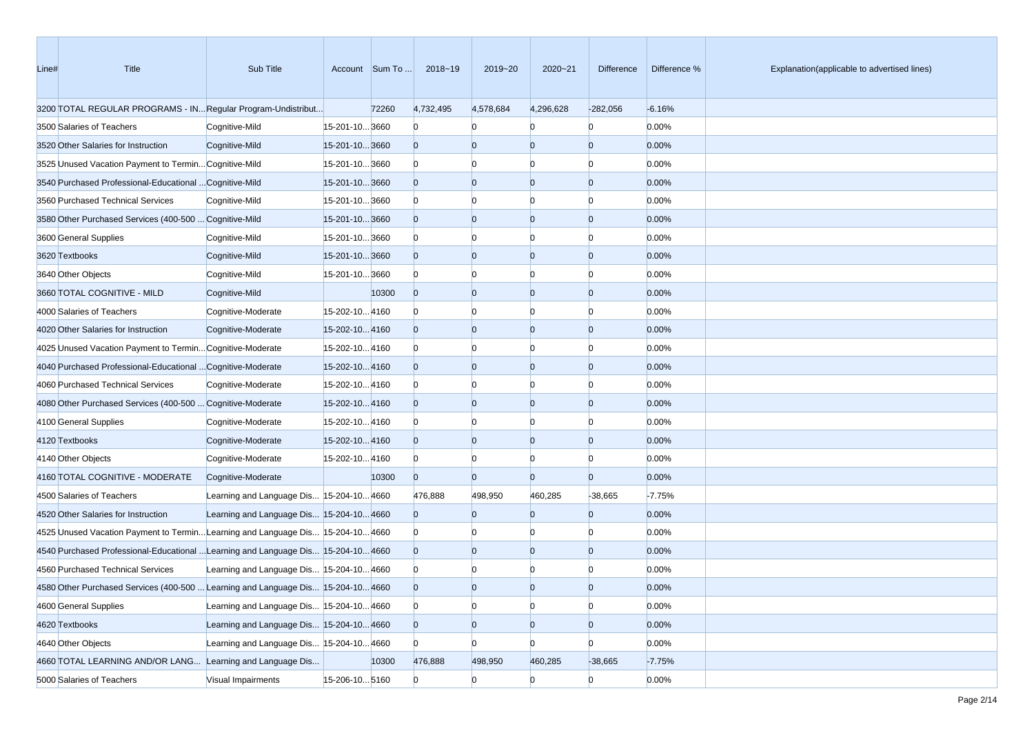| Line# | Title                                                                             | Sub Title                                |                | Account Sum To | 2018~19        | 2019~20        | 2020~21        | Difference     | Difference % | Explanation(applicable to advertised lines) |
|-------|-----------------------------------------------------------------------------------|------------------------------------------|----------------|----------------|----------------|----------------|----------------|----------------|--------------|---------------------------------------------|
|       | 3200 TOTAL REGULAR PROGRAMS - IN Regular Program-Undistribut                      |                                          |                | 72260          | 4,732,495      | 4,578,684      | 4,296,628      | $-282,056$     | $-6.16%$     |                                             |
|       | 3500 Salaries of Teachers                                                         | Cognitive-Mild                           | 15-201-10 3660 |                | $\mathbf{0}$   | $\Omega$       |                | $\overline{0}$ | 0.00%        |                                             |
|       | 3520 Other Salaries for Instruction                                               | Cognitive-Mild                           | 15-201-103660  |                | $\overline{0}$ | $\overline{0}$ | $\overline{0}$ | $\overline{0}$ | 0.00%        |                                             |
|       | 3525 Unused Vacation Payment to Termin Cognitive-Mild                             |                                          | 15-201-103660  |                | $\mathbf{0}$   | $\Omega$       | Ю              | n              | 0.00%        |                                             |
|       | 3540 Purchased Professional-Educational  Cognitive-Mild                           |                                          | 15-201-103660  |                | $\overline{0}$ | $\overline{0}$ | $\overline{0}$ | $\Omega$       | 0.00%        |                                             |
|       | 3560 Purchased Technical Services                                                 | Cognitive-Mild                           | 15-201-103660  |                | $\mathbf{0}$   | $\Omega$       | $\Omega$       | n              | 0.00%        |                                             |
|       | 3580 Other Purchased Services (400-500  Cognitive-Mild                            |                                          | 15-201-103660  |                | $\overline{0}$ | $\overline{0}$ | $\overline{0}$ | $\Omega$       | 0.00%        |                                             |
|       | 3600 General Supplies                                                             | Cognitive-Mild                           | 15-201-103660  |                | $\Omega$       | $\Omega$       | $\Omega$       | n              | 0.00%        |                                             |
|       | 3620 Textbooks                                                                    | Cognitive-Mild                           | 15-201-103660  |                | $\overline{0}$ | $\overline{0}$ | $\overline{0}$ | $\Omega$       | 0.00%        |                                             |
|       | 3640 Other Objects                                                                | Cognitive-Mild                           | 15-201-103660  |                | $\Omega$       | $\overline{0}$ | $\Omega$       | n              | 0.00%        |                                             |
|       | 3660 TOTAL COGNITIVE - MILD                                                       | Cognitive-Mild                           |                | 10300          | $\mathbf{0}$   | $\overline{0}$ | $\overline{0}$ | $\overline{0}$ | 0.00%        |                                             |
|       | 4000 Salaries of Teachers                                                         | Cognitive-Moderate                       | 15-202-104160  |                | $\Omega$       | $\Omega$       | $\Omega$       | n              | 0.00%        |                                             |
|       | 4020 Other Salaries for Instruction                                               | Cognitive-Moderate                       | 15-202-104160  |                | $\overline{0}$ | $\overline{0}$ | $\overline{0}$ | $\Omega$       | 0.00%        |                                             |
|       | 4025 Unused Vacation Payment to Termin Cognitive-Moderate                         |                                          | 15-202-104160  |                | $\mathbf{0}$   | $\Omega$       | $\Omega$       | n              | 0.00%        |                                             |
|       | 4040 Purchased Professional-Educational  Cognitive-Moderate                       |                                          | 15-202-104160  |                | $\overline{0}$ | $\overline{0}$ | $\overline{0}$ | $\Omega$       | 0.00%        |                                             |
|       | 4060 Purchased Technical Services                                                 | Cognitive-Moderate                       | 15-202-104160  |                | $\Omega$       | $\Omega$       | $\Omega$       | n              | 0.00%        |                                             |
|       | 4080 Other Purchased Services (400-500  Cognitive-Moderate                        |                                          | 15-202-104160  |                | $\overline{0}$ | $\overline{0}$ | $\overline{0}$ | $\overline{0}$ | 0.00%        |                                             |
|       | 4100 General Supplies                                                             | Cognitive-Moderate                       | 15-202-104160  |                | $\mathbf{0}$   | $\overline{0}$ | $\Omega$       | n              | 0.00%        |                                             |
|       | 4120 Textbooks                                                                    | Cognitive-Moderate                       | 15-202-104160  |                | $\overline{0}$ | $\overline{0}$ | $\overline{0}$ | $\Omega$       | 0.00%        |                                             |
|       | 4140 Other Objects                                                                | Cognitive-Moderate                       | 15-202-104160  |                | $\mathbf{0}$   | $\overline{0}$ | Ю              | n              | 0.00%        |                                             |
|       | 4160 TOTAL COGNITIVE - MODERATE                                                   | Cognitive-Moderate                       |                | 10300          | $\overline{0}$ | $\Omega$       | $\Omega$       | $\Omega$       | 0.00%        |                                             |
|       | 4500 Salaries of Teachers                                                         | Learning and Language Dis 15-204-10 4660 |                |                | 476,888        | 498,950        | 460,285        | $-38,665$      | $-7.75%$     |                                             |
|       | 4520 Other Salaries for Instruction                                               | Learning and Language Dis 15-204-10 4660 |                |                | $\overline{0}$ | $\overline{0}$ | $\overline{0}$ | $\overline{0}$ | 0.00%        |                                             |
|       | 4525 Unused Vacation Payment to Termin Learning and Language Dis 15-204-10 4660   |                                          |                |                | $\Omega$       | $\Omega$       | $\Omega$       | $\Omega$       | 0.00%        |                                             |
|       | 4540 Purchased Professional-Educational  Learning and Language Dis 15-204-10 4660 |                                          |                |                | $\overline{0}$ | $\overline{0}$ | $\overline{0}$ | $\Omega$       | 0.00%        |                                             |
|       | 4560 Purchased Technical Services                                                 | Learning and Language Dis 15-204-10 4660 |                |                | $\bf{0}$       |                |                |                | 0.00%        |                                             |
|       | 4580 Other Purchased Services (400-500  Learning and Language Dis 15-204-10 4660  |                                          |                |                | $\Omega$       | $\Omega$       | $\Omega$       |                | 0.00%        |                                             |
|       | 4600 General Supplies                                                             | Learning and Language Dis 15-204-10 4660 |                |                | $\overline{0}$ | $\overline{0}$ | $\overline{0}$ | $\overline{0}$ | 0.00%        |                                             |
|       | 4620 Textbooks                                                                    | Learning and Language Dis 15-204-10 4660 |                |                | $\overline{0}$ | $\overline{0}$ | $\overline{0}$ | $\overline{0}$ | 0.00%        |                                             |
|       | 4640 Other Objects                                                                | Learning and Language Dis 15-204-10 4660 |                |                | $\Omega$       | $\overline{0}$ | $\overline{0}$ | $\overline{0}$ | 0.00%        |                                             |
|       | 4660 TOTAL LEARNING AND/OR LANG Learning and Language Dis                         |                                          |                | 10300          | 476,888        | 498,950        | 460,285        | $-38,665$      | $-7.75%$     |                                             |
|       | 5000 Salaries of Teachers                                                         | Visual Impairments                       | 15-206-10 5160 |                | $\overline{0}$ | $\overline{0}$ | $\Omega$       | $\overline{0}$ | 0.00%        |                                             |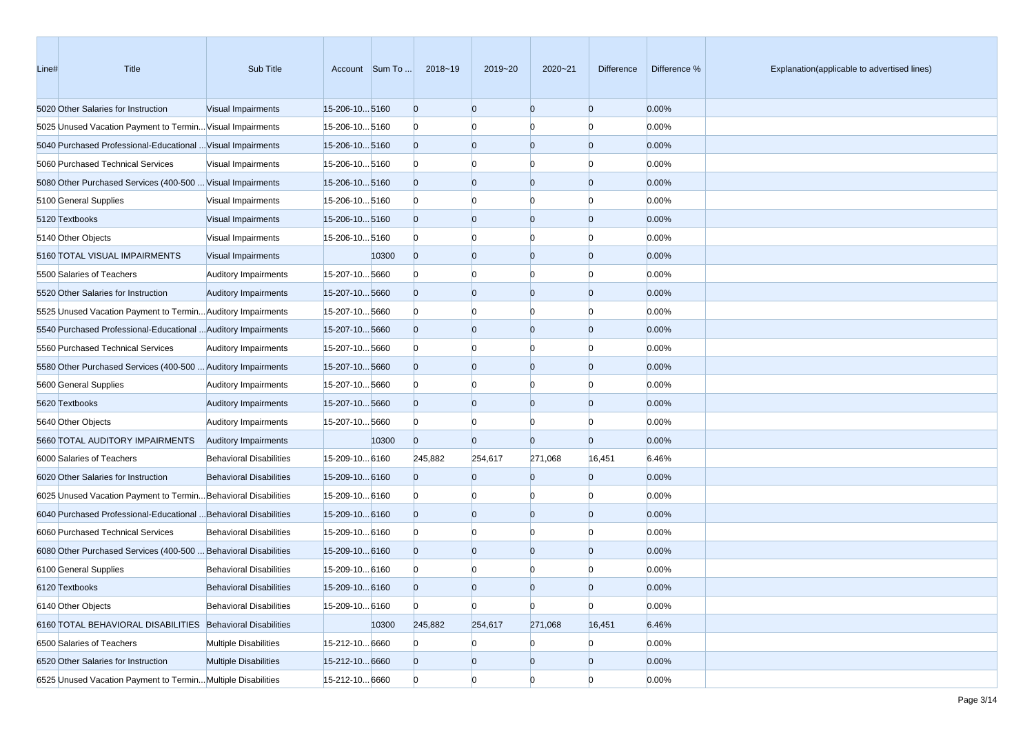| Line# | Title                                                            | Sub Title                      |                      | Account Sum To | 2018~19        | 2019~20        | 2020~21        | Difference     | Difference % | Explanation(applicable to advertised lines) |
|-------|------------------------------------------------------------------|--------------------------------|----------------------|----------------|----------------|----------------|----------------|----------------|--------------|---------------------------------------------|
|       | 5020 Other Salaries for Instruction                              | Visual Impairments             | 15-206-105160        |                | $\overline{0}$ | $\overline{0}$ | $\overline{0}$ | $\overline{0}$ | 0.00%        |                                             |
|       | 5025 Unused Vacation Payment to Termin Visual Impairments        |                                | 15-206-105160        |                | $\mathbf{0}$   | $\Omega$       | $\Omega$       | $\Omega$       | 0.00%        |                                             |
|       | 5040 Purchased Professional-Educational  Visual Impairments      |                                | 15-206-105160        |                | $\overline{0}$ | $\overline{0}$ | $\overline{0}$ | $\overline{0}$ | 0.00%        |                                             |
|       | 5060 Purchased Technical Services                                | <b>Visual Impairments</b>      | 15-206-105160        |                | $\mathbf{0}$   | $\Omega$       | $\Omega$       | n              | 0.00%        |                                             |
|       | 5080 Other Purchased Services (400-500  Visual Impairments       |                                | 15-206-105160        |                | $\overline{0}$ | $\Omega$       | $\overline{0}$ | $\Omega$       | 0.00%        |                                             |
|       | 5100 General Supplies                                            | Visual Impairments             | 15-206-105160        |                | $\mathbf{0}$   | $\Omega$       | $\Omega$       | n              | 0.00%        |                                             |
|       | 5120 Textbooks                                                   | Visual Impairments             | 15-206-10 5160       |                | $\overline{0}$ | $\overline{0}$ | $\overline{0}$ | $\overline{0}$ | 0.00%        |                                             |
|       | 5140 Other Objects                                               | Visual Impairments             | 15-206-105160        |                | $\mathbf{0}$   | $\Omega$       | $\Omega$       | $\Omega$       | 0.00%        |                                             |
|       | 5160 TOTAL VISUAL IMPAIRMENTS                                    | Visual Impairments             |                      | 10300          | $\overline{0}$ | $\Omega$       | $\overline{0}$ | $\Omega$       | 0.00%        |                                             |
|       | 5500 Salaries of Teachers                                        | <b>Auditory Impairments</b>    | 15-207-105660        |                | $\mathbf{0}$   | $\Omega$       | $\Omega$       | n              | 0.00%        |                                             |
|       | 5520 Other Salaries for Instruction                              | <b>Auditory Impairments</b>    | 15-207-105660        |                | $\overline{0}$ | $\Omega$       | $\overline{0}$ | $\Omega$       | 0.00%        |                                             |
|       | 5525 Unused Vacation Payment to Termin Auditory Impairments      |                                | 15-207-10 5660       |                | $\mathbf{0}$   | $\Omega$       | $\Omega$       | n              | 0.00%        |                                             |
|       | 5540 Purchased Professional-Educational  Auditory Impairments    |                                | 15-207-105660        |                | $\overline{0}$ | $\Omega$       | $\overline{0}$ | $\overline{0}$ | 0.00%        |                                             |
|       | 5560 Purchased Technical Services                                | <b>Auditory Impairments</b>    | 15-207-105660        |                | $\mathbf{0}$   | $\Omega$       | $\Omega$       | $\Omega$       | 0.00%        |                                             |
|       | 5580 Other Purchased Services (400-500  Auditory Impairments     |                                | 15-207-105660        |                | $\overline{0}$ | $\Omega$       | $\overline{0}$ | $\Omega$       | 0.00%        |                                             |
|       | 5600 General Supplies                                            | <b>Auditory Impairments</b>    | 15-207-105660        |                | $\mathbf{0}$   | $\Omega$       | $\Omega$       | n              | 0.00%        |                                             |
|       | 5620 Textbooks                                                   | <b>Auditory Impairments</b>    | 15-207-105660        |                | $\overline{0}$ | $\Omega$       | $\overline{0}$ | $\Omega$       | 0.00%        |                                             |
|       | 5640 Other Objects                                               | <b>Auditory Impairments</b>    | 15-207-105660        |                | $\mathbf{0}$   | $\Omega$       | n              | n              | 0.00%        |                                             |
|       | 5660 TOTAL AUDITORY IMPAIRMENTS                                  | <b>Auditory Impairments</b>    |                      | 10300          | $\overline{0}$ | $\Omega$       | $\Omega$       | $\overline{0}$ | 0.00%        |                                             |
|       | 6000 Salaries of Teachers                                        | <b>Behavioral Disabilities</b> | 15-209-10 6160       |                | 245,882        | 254,617        | 271,068        | 16,451         | 6.46%        |                                             |
|       | 6020 Other Salaries for Instruction                              | <b>Behavioral Disabilities</b> | 15-209-10 6160       |                | $\overline{0}$ | $\Omega$       | $\Omega$       | $\overline{0}$ | 0.00%        |                                             |
|       | 6025 Unused Vacation Payment to Termin Behavioral Disabilities   |                                | 15-209-10 6160       |                | $\mathbf{0}$   | $\Omega$       | -0             | n              | 0.00%        |                                             |
|       | 6040 Purchased Professional-Educational  Behavioral Disabilities |                                | $15 - 209 - 10 6160$ |                | $\overline{0}$ | $\Omega$       | $\overline{0}$ | $\Omega$       | 0.00%        |                                             |
|       | 6060 Purchased Technical Services                                | <b>Behavioral Disabilities</b> | 15-209-10 6160       |                | $\mathbf{0}$   | $\Omega$       | $\Omega$       | n              | 0.00%        |                                             |
|       | 6080 Other Purchased Services (400-500  Behavioral Disabilities  |                                | 15-209-10 6160       |                | $\overline{0}$ | $\Omega$       | $\overline{0}$ | $\Omega$       | 0.00%        |                                             |
|       | 6100 General Supplies                                            | <b>Behavioral Disabilities</b> | 15-209-10 6160       |                | $\mathbf{0}$   |                |                |                | 0.00%        |                                             |
|       | 6120 Textbooks                                                   | <b>Behavioral Disabilities</b> | 15-209-10 6160       |                | $\Omega$       | $\Omega$       | $\Omega$       | n              | 0.00%        |                                             |
|       | 6140 Other Objects                                               | <b>Behavioral Disabilities</b> | 15-209-10 6160       |                | $\overline{0}$ | $\mathbf{0}$   | $\overline{0}$ | $\overline{0}$ | 0.00%        |                                             |
|       | 6160 TOTAL BEHAVIORAL DISABILITIES Behavioral Disabilities       |                                |                      | 10300          | 245,882        | 254,617        | 271,068        | 16,451         | 6.46%        |                                             |
|       | 6500 Salaries of Teachers                                        | <b>Multiple Disabilities</b>   | 15-212-10 6660       |                | $\bf{0}$       | $\Omega$       | $\overline{0}$ | $\overline{0}$ | 0.00%        |                                             |
|       | 6520 Other Salaries for Instruction                              | <b>Multiple Disabilities</b>   | 15-212-106660        |                | $\overline{0}$ | $\mathbf{0}$   | $\overline{0}$ | $\overline{0}$ | 0.00%        |                                             |
|       | 6525 Unused Vacation Payment to Termin Multiple Disabilities     |                                | 15-212-10 6660       |                | $\overline{0}$ | $\overline{0}$ | $\Omega$       | $\overline{0}$ | 0.00%        |                                             |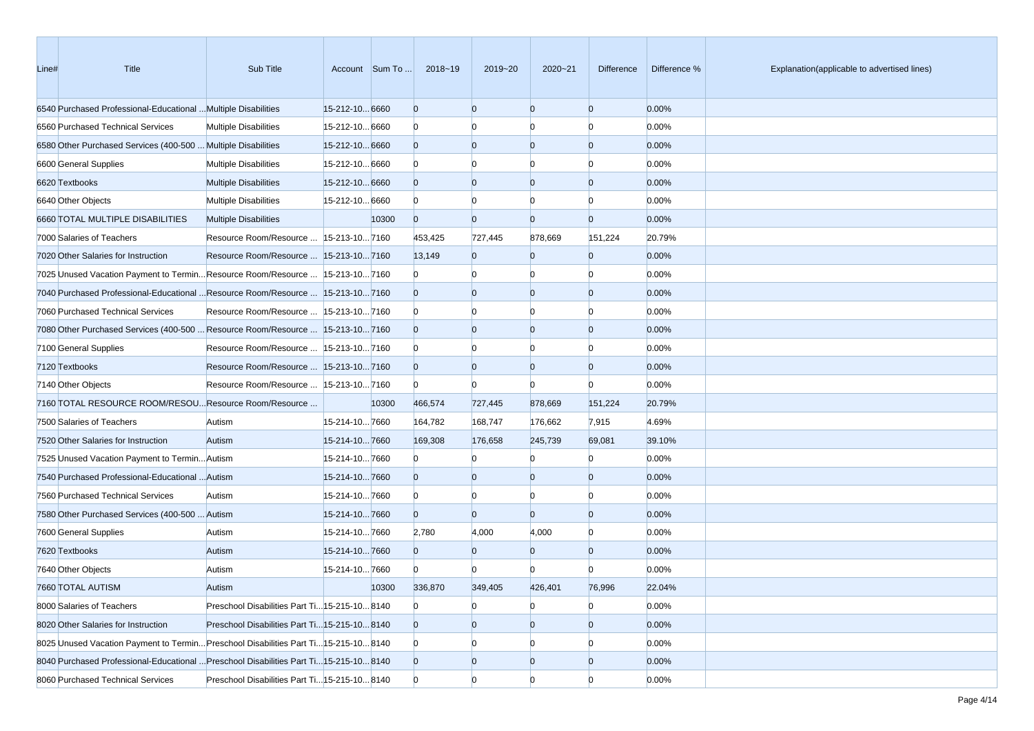| Line# | Title                                                                                 | Sub Title                                     |                | Account Sum To | 2018~19        | 2019~20        | 2020~21        | Difference     | Difference % | Explanation(applicable to advertised lines) |
|-------|---------------------------------------------------------------------------------------|-----------------------------------------------|----------------|----------------|----------------|----------------|----------------|----------------|--------------|---------------------------------------------|
|       | 6540 Purchased Professional-Educational  Multiple Disabilities                        |                                               | 15-212-10 6660 |                | $\overline{0}$ | $\overline{0}$ | $\overline{0}$ | $\overline{0}$ | 0.00%        |                                             |
|       | 6560 Purchased Technical Services                                                     | <b>Multiple Disabilities</b>                  | 15-212-10 6660 |                | $\bf{0}$       | $\Omega$       | $\Omega$       | $\Omega$       | 0.00%        |                                             |
|       | 6580 Other Purchased Services (400-500  Multiple Disabilities                         |                                               | 15-212-10 6660 |                | $\overline{0}$ | $\overline{0}$ | $\overline{0}$ | $\overline{0}$ | 0.00%        |                                             |
|       | 6600 General Supplies                                                                 | <b>Multiple Disabilities</b>                  | 15-212-10 6660 |                | $\bf{0}$       | $\Omega$       | $\Omega$       | $\Omega$       | 0.00%        |                                             |
|       | 6620 Textbooks                                                                        | <b>Multiple Disabilities</b>                  | 15-212-10 6660 |                | $\overline{0}$ | $\overline{0}$ | $\overline{0}$ | $\Omega$       | 0.00%        |                                             |
|       | 6640 Other Objects                                                                    | <b>Multiple Disabilities</b>                  | 15-212-10 6660 |                | $\bf{0}$       | $\Omega$       | $\Omega$       | n              | 0.00%        |                                             |
|       | 6660 TOTAL MULTIPLE DISABILITIES                                                      | <b>Multiple Disabilities</b>                  |                | 10300          | $\overline{0}$ | $\Omega$       | $\Omega$       | $\overline{0}$ | 0.00%        |                                             |
|       | 7000 Salaries of Teachers                                                             | Resource Room/Resource   15-213-10 7160       |                |                | 453,425        | 727,445        | 878,669        | 151,224        | 20.79%       |                                             |
|       | 7020 Other Salaries for Instruction                                                   | Resource Room/Resource    15-213-10 7160      |                |                | 13,149         | $\overline{0}$ | $\Omega$       | $\overline{0}$ | 0.00%        |                                             |
|       | 7025 Unused Vacation Payment to TerminResource Room/Resource  15-213-107160           |                                               |                |                | $\bf{0}$       | $\Omega$       | $\Omega$       | $\Omega$       | 0.00%        |                                             |
|       | 7040 Purchased Professional-Educational  Resource Room/Resource   15-213-10  7160     |                                               |                |                | $\overline{0}$ | $\overline{0}$ | $\overline{0}$ | $\overline{0}$ | 0.00%        |                                             |
|       | 7060 Purchased Technical Services                                                     | Resource Room/Resource   15-213-10 7160       |                |                | $\Omega$       | $\Omega$       | $\Omega$       | $\Omega$       | 0.00%        |                                             |
|       | 7080 Other Purchased Services (400-500  Resource Room/Resource  15-213-10 7160        |                                               |                |                | $\overline{0}$ | $\overline{0}$ | $\overline{0}$ | $\Omega$       | 0.00%        |                                             |
|       | 7100 General Supplies                                                                 | Resource Room/Resource   15-213-10 7160       |                |                | $\bf{0}$       | $\Omega$       | $\Omega$       | n              | 0.00%        |                                             |
|       | 7120 Textbooks                                                                        | Resource Room/Resource   15-213-10 7160       |                |                | $\overline{0}$ | $\overline{0}$ | $\overline{0}$ | $\Omega$       | 0.00%        |                                             |
|       | 7140 Other Objects                                                                    | Resource Room/Resource   15-213-10 7160       |                |                | $\Omega$       | $\Omega$       | $\Omega$       | $\Omega$       | 0.00%        |                                             |
|       | 7160 TOTAL RESOURCE ROOM/RESOU Resource Room/Resource                                 |                                               |                | 10300          | 466,574        | 727,445        | 878,669        | 151,224        | 20.79%       |                                             |
|       | 7500 Salaries of Teachers                                                             | Autism                                        | 15-214-107660  |                | 164,782        | 168,747        | 176,662        | 7,915          | 4.69%        |                                             |
|       | 7520 Other Salaries for Instruction                                                   | Autism                                        | 15-214-107660  |                | 169,308        | 176,658        | 245,739        | 69,081         | 39.10%       |                                             |
|       | 7525 Unused Vacation Payment to Termin Autism                                         |                                               | 15-214-107660  |                | $\mathbf{0}$   | $\Omega$       | n              | $\Omega$       | 0.00%        |                                             |
|       | 7540 Purchased Professional-Educational  Autism                                       |                                               | 15-214-107660  |                | $\overline{0}$ | $\overline{0}$ | $\mathbf{0}$   | $\Omega$       | 0.00%        |                                             |
|       | 7560 Purchased Technical Services                                                     | Autism                                        | 15-214-107660  |                | $\mathbf{0}$   | $\Omega$       | $\Omega$       | n              | 0.00%        |                                             |
|       | 7580 Other Purchased Services (400-500  Autism                                        |                                               | 15-214-107660  |                | $\overline{0}$ | $\Omega$       | $\Omega$       | $\Omega$       | 0.00%        |                                             |
|       | 7600 General Supplies                                                                 | Autism                                        | 15-214-107660  |                | 2,780          | 4,000          | 4,000          | $\Omega$       | 0.00%        |                                             |
|       | 7620 Textbooks                                                                        | Autism                                        | 15-214-107660  |                | $\overline{0}$ | $\Omega$       | $\Omega$       | $\Omega$       | 0.00%        |                                             |
|       | 7640 Other Objects                                                                    | Autism                                        | 15-214-107660  |                | $\Omega$       |                |                | n              | 0.00%        |                                             |
|       | 7660 TOTAL AUTISM                                                                     | Autism                                        |                | 10300          | 336,870        | 349,405        | 426,401        | 76,996         | 22.04%       |                                             |
|       | 8000 Salaries of Teachers                                                             | Preschool Disabilities Part Ti 15-215-10 8140 |                |                | $\mathbf{0}$   | $\overline{0}$ | $\bf{0}$       | $\overline{0}$ | 0.00%        |                                             |
|       | 8020 Other Salaries for Instruction                                                   | Preschool Disabilities Part Ti 15-215-10 8140 |                |                | $\mathbf{0}$   | $\overline{0}$ | $\overline{0}$ | $\overline{0}$ | 0.00%        |                                             |
|       | 8025 Unused Vacation Payment to Termin Preschool Disabilities Part Ti 15-215-10 8140  |                                               |                |                | $\bf{0}$       | $\bf{0}$       | $\bf{0}$       | n              | 0.00%        |                                             |
|       | 8040 Purchased Professional-Educational  Preschool Disabilities Part Ti15-215-10 8140 |                                               |                |                | $\mathbf{0}$   | $\mathbf{0}$   | $\mathbf{0}$   | $\overline{0}$ | 0.00%        |                                             |
|       | 8060 Purchased Technical Services                                                     | Preschool Disabilities Part Ti 15-215-10 8140 |                |                | $\mathbf{0}$   | $\overline{0}$ | $\overline{0}$ | $\overline{0}$ | 0.00%        |                                             |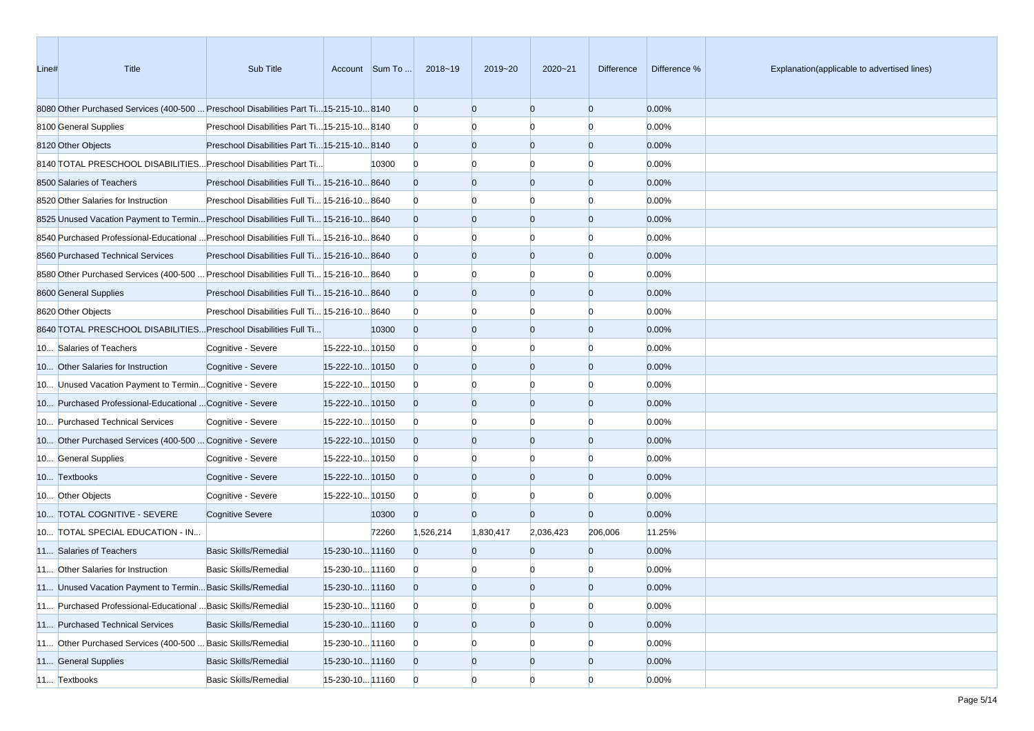| Line# | Title                                                                                  | Sub Title                                     |                 | Account Sum To | 2018~19        | 2019~20        | 2020~21        | Difference     | Difference % | Explanation(applicable to advertised lines) |
|-------|----------------------------------------------------------------------------------------|-----------------------------------------------|-----------------|----------------|----------------|----------------|----------------|----------------|--------------|---------------------------------------------|
|       | 8080 Other Purchased Services (400-500  Preschool Disabilities Part Ti15-215-10 8140   |                                               |                 |                | $\overline{0}$ | $\overline{0}$ | $\overline{0}$ | $\mathbf{0}$   | 0.00%        |                                             |
|       | 8100 General Supplies                                                                  | Preschool Disabilities Part Ti 15-215-10 8140 |                 |                | $\mathbf{0}$   | n              |                | n              | 0.00%        |                                             |
|       | 8120 Other Objects                                                                     | Preschool Disabilities Part Ti 15-215-10 8140 |                 |                | $\overline{0}$ | $\overline{0}$ | $\overline{0}$ | $\mathbf{0}$   | 0.00%        |                                             |
|       | 8140 TOTAL PRESCHOOL DISABILITIES Preschool Disabilities Part Ti                       |                                               |                 | 10300          | $\mathbf{0}$   | $\Omega$       | n              | n              | 0.00%        |                                             |
|       | 8500 Salaries of Teachers                                                              | Preschool Disabilities Full Ti 15-216-10 8640 |                 |                | $\overline{0}$ | $\overline{0}$ | $\overline{0}$ | $\mathbf{0}$   | 0.00%        |                                             |
|       | 8520 Other Salaries for Instruction                                                    | Preschool Disabilities Full Ti 15-216-10 8640 |                 |                | $\mathbf{0}$   | $\Omega$       | $\Omega$       | $\Omega$       | 0.00%        |                                             |
|       | 8525 Unused Vacation Payment to Termin Preschool Disabilities Full Ti 15-216-10 8640   |                                               |                 |                | $\overline{0}$ | $\overline{0}$ | $\overline{0}$ | $\mathbf{0}$   | 0.00%        |                                             |
|       | 8640 Purchased Professional-Educational  Preschool Disabilities Full Ti 15-216-10 8640 |                                               |                 |                | $\bf{0}$       | n              | n              | n              | 0.00%        |                                             |
|       | 8560 Purchased Technical Services                                                      | Preschool Disabilities Full Ti 15-216-10 8640 |                 |                | $\overline{0}$ | $\overline{0}$ | $\overline{0}$ | $\mathbf{0}$   | 0.00%        |                                             |
|       | 8680 Other Purchased Services (400-500  Preschool Disabilities Full Ti 15-216-10 8640  |                                               |                 |                | $\mathbf{0}$   | n              |                | n              | 0.00%        |                                             |
|       | 8600 General Supplies                                                                  | Preschool Disabilities Full Ti 15-216-10 8640 |                 |                | $\overline{0}$ | $\overline{0}$ | $\overline{0}$ | $\mathbf{0}$   | 0.00%        |                                             |
|       | 8620 Other Objects                                                                     | Preschool Disabilities Full Ti 15-216-10 8640 |                 |                | $\bf{0}$       | $\Omega$       | n              | n              | 0.00%        |                                             |
|       | 8640 TOTAL PRESCHOOL DISABILITIES Preschool Disabilities Full Ti                       |                                               |                 | 10300          | $\mathbf{0}$   | $\overline{0}$ | $\overline{0}$ | $\mathbf{0}$   | 0.00%        |                                             |
|       | 10 Salaries of Teachers                                                                | Cognitive - Severe                            | 15-222-10 10150 |                | $\bf{0}$       | $\Omega$       | $\Omega$       | n              | 0.00%        |                                             |
|       | 10 Other Salaries for Instruction                                                      | Cognitive - Severe                            | 15-222-1010150  |                | $\overline{0}$ | $\overline{0}$ | $\overline{0}$ | $\mathbf{0}$   | 0.00%        |                                             |
|       | 10 Unused Vacation Payment to Termin Cognitive - Severe                                |                                               | 15-222-10 10150 |                | $\bf{0}$       | n              | n              | n              | 0.00%        |                                             |
|       | 10 Purchased Professional-Educational  Cognitive - Severe                              |                                               | 15-222-10 10150 |                | $\overline{0}$ | $\overline{0}$ | $\overline{0}$ | $\mathbf{0}$   | 0.00%        |                                             |
|       | 10 Purchased Technical Services                                                        | Cognitive - Severe                            | 15-222-10 10150 |                | $\bf{0}$       | n              |                | n              | 0.00%        |                                             |
|       | 10 Other Purchased Services (400-500  Cognitive - Severe                               |                                               | 15-222-10 10150 |                | $\overline{0}$ | $\overline{0}$ | $\overline{0}$ | $\mathbf{0}$   | 0.00%        |                                             |
|       | 10 General Supplies                                                                    | Cognitive - Severe                            | 15-222-10 10150 |                | $\bf{0}$       | $\Omega$       | n              | $\Omega$       | 0.00%        |                                             |
|       | 10 Textbooks                                                                           | Cognitive - Severe                            | 15-222-10 10150 |                | $\overline{0}$ | $\overline{0}$ | $\overline{0}$ | $\mathbf{0}$   | 0.00%        |                                             |
|       | 10 Other Objects                                                                       | Cognitive - Severe                            | 15-222-10 10150 |                | $\bf{0}$       | $\Omega$       |                | $\Omega$       | 0.00%        |                                             |
|       | 10 TOTAL COGNITIVE - SEVERE                                                            | <b>Cognitive Severe</b>                       |                 | 10300          | $\overline{0}$ | $\overline{0}$ | $\Omega$       | $\mathbf{0}$   | 0.00%        |                                             |
|       | 10 TOTAL SPECIAL EDUCATION - IN                                                        |                                               |                 | 72260          | 1,526,214      | 1,830,417      | 2,036,423      | 206,006        | 11.25%       |                                             |
|       | 11 Salaries of Teachers                                                                | <b>Basic Skills/Remedial</b>                  | 15-230-10 11160 |                | $\Omega$       | $\Omega$       | $\Omega$       | $\overline{0}$ | 0.00%        |                                             |
|       | 11 Other Salaries for Instruction                                                      | <b>Basic Skills/Remedial</b>                  | 15-230-10 11160 |                | $\bf{0}$       | n              |                | n              | 0.00%        |                                             |
|       | 11 Unused Vacation Payment to Termin Basic Skills/Remedial                             |                                               | 15-230-10 11160 |                | $\overline{0}$ | $\Omega$       | $\Omega$       | $\Omega$       | 0.00%        |                                             |
|       | 11 Purchased Professional-Educational  Basic Skills/Remedial                           |                                               | 15-230-10 11160 |                | $\overline{0}$ | $\overline{0}$ | $\overline{0}$ | $\overline{0}$ | 0.00%        |                                             |
|       | 11 Purchased Technical Services                                                        | <b>Basic Skills/Remedial</b>                  | 15-230-10 11160 |                | $\overline{0}$ | $\mathbf{0}$   | $\overline{0}$ | $\overline{0}$ | 0.00%        |                                             |
|       | 11 Other Purchased Services (400-500  Basic Skills/Remedial                            |                                               | 15-230-10 11160 |                | $\bf{0}$       | $\overline{0}$ |                | $\Omega$       | 0.00%        |                                             |
|       | 11 General Supplies                                                                    | <b>Basic Skills/Remedial</b>                  | 15-230-10 11160 |                | $\overline{0}$ | $\mathbf{0}$   | $\mathbf{0}$   | $\overline{0}$ | 0.00%        |                                             |
|       | 11 Textbooks                                                                           | <b>Basic Skills/Remedial</b>                  | 15-230-10 11160 |                | $\overline{0}$ | $\overline{0}$ | $\Omega$       | $\Omega$       | 0.00%        |                                             |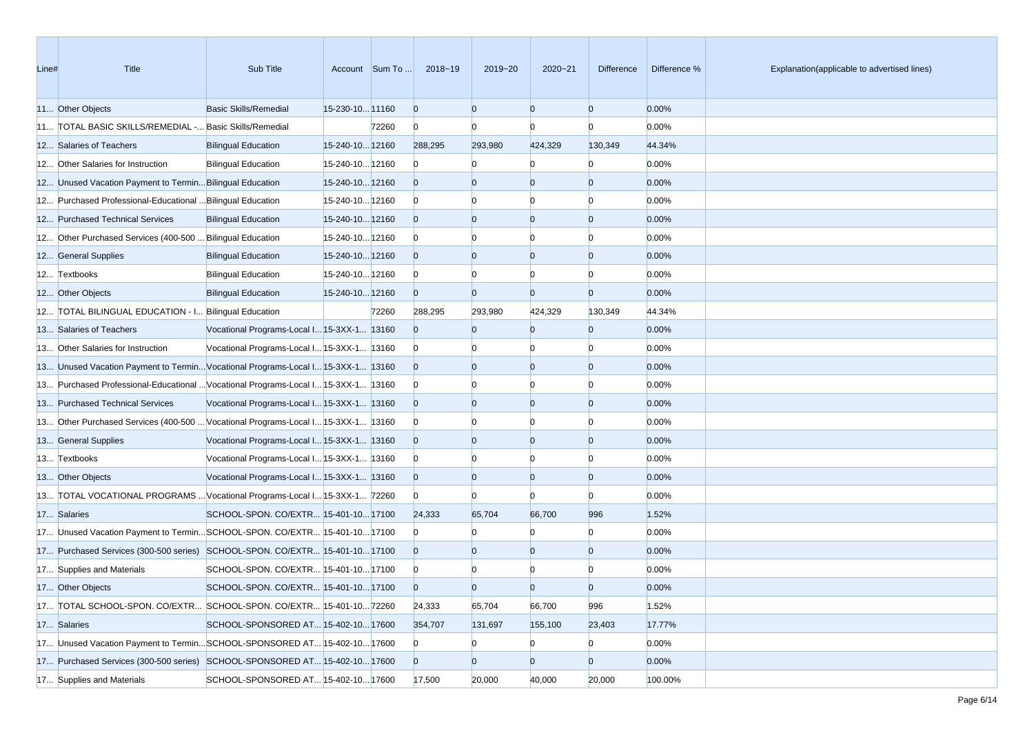| Line# | Title                                                                             | Sub Title                                  |                 | Account Sum To | 2018~19        | 2019~20        | 2020~21        | <b>Difference</b> | Difference % | Explanation(applicable to advertised lines) |
|-------|-----------------------------------------------------------------------------------|--------------------------------------------|-----------------|----------------|----------------|----------------|----------------|-------------------|--------------|---------------------------------------------|
|       | 11 Other Objects                                                                  | Basic Skills/Remedial                      | 15-230-10 11160 |                | $\overline{0}$ | $\Omega$       | $\Omega$       | $\overline{0}$    | 0.00%        |                                             |
|       | 11 TOTAL BASIC SKILLS/REMEDIAL - Basic Skills/Remedial                            |                                            |                 | 72260          | $\overline{0}$ | $\Omega$       | $\Omega$       | $\Omega$          | 0.00%        |                                             |
|       | 12 Salaries of Teachers                                                           | <b>Bilingual Education</b>                 | 15-240-10 12160 |                | 288,295        | 293,980        | 424,329        | 130,349           | 44.34%       |                                             |
|       | 12 Other Salaries for Instruction                                                 | <b>Bilingual Education</b>                 | 15-240-10 12160 |                | $\overline{0}$ |                | $\Omega$       | $\Omega$          | 0.00%        |                                             |
|       | 12 Unused Vacation Payment to Termin Bilingual Education                          |                                            | 15-240-10 12160 |                | $\overline{0}$ | $\Omega$       | $\Omega$       | $\overline{0}$    | 0.00%        |                                             |
|       | 12 Purchased Professional-Educational  Bilingual Education                        |                                            | 15-240-10 12160 |                | $\overline{0}$ |                |                | $\Omega$          | 0.00%        |                                             |
|       | 12 Purchased Technical Services                                                   | <b>Bilingual Education</b>                 | 15-240-10 12160 |                | $\overline{0}$ | $\Omega$       | $\Omega$       | $\Omega$          | 0.00%        |                                             |
|       | 12 Other Purchased Services (400-500  Bilingual Education                         |                                            | 15-240-10 12160 |                | $\overline{0}$ |                |                |                   | 0.00%        |                                             |
|       | 12 General Supplies                                                               | <b>Bilingual Education</b>                 | 15-240-10 12160 |                | $\overline{0}$ | $\Omega$       | $\Omega$       | $\Omega$          | 0.00%        |                                             |
|       | 12 Textbooks                                                                      | <b>Bilingual Education</b>                 | 15-240-10 12160 |                | $\overline{0}$ | $\Omega$       | $\Omega$       | $\Omega$          | 0.00%        |                                             |
|       | 12 Other Objects                                                                  | <b>Bilingual Education</b>                 | 15-240-10 12160 |                | $\overline{0}$ | $\Omega$       | $\overline{0}$ | $\overline{0}$    | 0.00%        |                                             |
|       | 12 TOTAL BILINGUAL EDUCATION - I Bilingual Education                              |                                            |                 | 72260          | 288,295        | 293,980        | 424,329        | 130,349           | 44.34%       |                                             |
|       | 13 Salaries of Teachers                                                           | Vocational Programs-Local I 15-3XX-1 13160 |                 |                | $\overline{0}$ | $\Omega$       | $\Omega$       | $\overline{0}$    | 0.00%        |                                             |
|       | 13 Other Salaries for Instruction                                                 | Vocational Programs-Local I 15-3XX-1 13160 |                 |                | $\bf{0}$       |                |                | n                 | 0.00%        |                                             |
|       | 13 Unused Vacation Payment to Termin Vocational Programs-Local I 15-3XX-1 13160   |                                            |                 |                | $\overline{0}$ | $\Omega$       | $\Omega$       | $\Omega$          | 0.00%        |                                             |
|       | 13 Purchased Professional-Educational  Vocational Programs-Local I 15-3XX-1 13160 |                                            |                 |                | $\overline{0}$ |                | $\Omega$       | $\Omega$          | 0.00%        |                                             |
|       | 13 Purchased Technical Services                                                   | Vocational Programs-Local I 15-3XX-1 13160 |                 |                | $\overline{0}$ | $\Omega$       | $\overline{0}$ | $\overline{0}$    | 0.00%        |                                             |
|       | 13 Other Purchased Services (400-500  Vocational Programs-Local I 15-3XX-1 13160  |                                            |                 |                | $\bf{0}$       |                | $\Omega$       | n                 | 0.00%        |                                             |
|       | 13 General Supplies                                                               | Vocational Programs-Local I 15-3XX-1 13160 |                 |                | $\overline{0}$ | $\Omega$       | $\Omega$       | $\Omega$          | 0.00%        |                                             |
|       | 13 Textbooks                                                                      | Vocational Programs-Local I 15-3XX-1 13160 |                 |                | $\overline{0}$ |                |                |                   | 0.00%        |                                             |
|       | 13 Other Objects                                                                  | Vocational Programs-Local I 15-3XX-1 13160 |                 |                | $\overline{0}$ | $\Omega$       | $\overline{0}$ | $\overline{0}$    | 0.00%        |                                             |
|       | 13 TOTAL VOCATIONAL PROGRAMS  Vocational Programs-Local I 15-3XX-1 72260          |                                            |                 |                | $\overline{0}$ | $\Omega$       | $\Omega$       | $\Omega$          | 0.00%        |                                             |
|       | 17 Salaries                                                                       | SCHOOL-SPON. CO/EXTR  15-401-10 17100      |                 |                | 24,333         | 65,704         | 66,700         | 996               | 1.52%        |                                             |
|       | 17 Unused Vacation Payment to TerminSCHOOL-SPON. CO/EXTR 15-401-10 17100          |                                            |                 |                | $\bf{0}$       |                | n              | $\Omega$          | 0.00%        |                                             |
|       | 17 Purchased Services (300-500 series) SCHOOL-SPON. CO/EXTR 15-401-10 17100       |                                            |                 |                | $\overline{0}$ | $\Omega$       | $\Omega$       | $\Omega$          | 0.00%        |                                             |
|       | 17 Supplies and Materials                                                         | SCHOOL-SPON. CO/EXTR 15-401-10 17100       |                 |                | $\bf{0}$       |                |                |                   | 0.00%        |                                             |
|       | 17 Other Objects                                                                  | SCHOOL-SPON. CO/EXTR 15-401-10 17100       |                 |                | $\Omega$       | $\Omega$       |                |                   | 0.00%        |                                             |
|       | 17 TOTAL SCHOOL-SPON. CO/EXTR SCHOOL-SPON. CO/EXTR 15-401-10 72260                |                                            |                 |                | 24,333         | 65,704         | 66,700         | 996               | 1.52%        |                                             |
|       | 17 Salaries                                                                       | SCHOOL-SPONSORED AT 15-402-10 17600        |                 |                | 354,707        | 131,697        | 155,100        | 23,403            | 17.77%       |                                             |
|       | 17 Unused Vacation Payment to TerminSCHOOL-SPONSORED AT 15-402-10 17600           |                                            |                 |                | $\bf{0}$       | $\overline{0}$ | $\bf{0}$       | $\overline{0}$    | 0.00%        |                                             |
|       | 17 Purchased Services (300-500 series) SCHOOL-SPONSORED AT 15-402-10 17600        |                                            |                 |                | $\overline{0}$ | $\overline{0}$ | $\overline{0}$ | $\overline{0}$    | 0.00%        |                                             |
|       | 17 Supplies and Materials                                                         | SCHOOL-SPONSORED AT 15-402-10 17600        |                 |                | 17,500         | 20,000         | 40,000         | 20,000            | 100.00%      |                                             |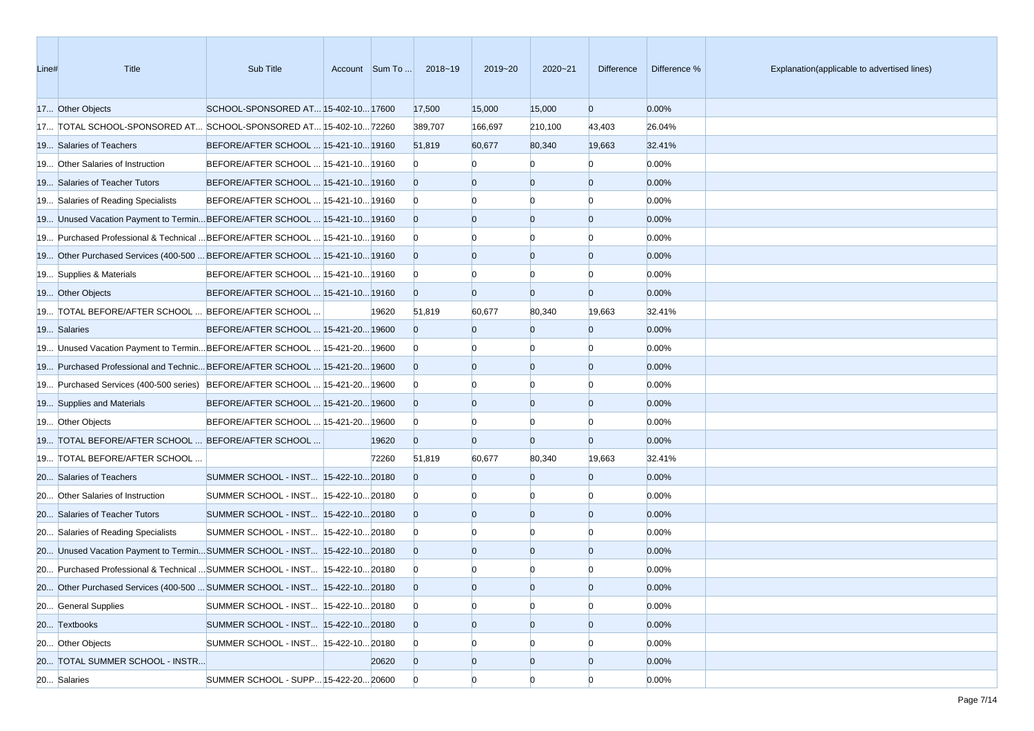| Line# | <b>Title</b>                                                                     | Sub Title                            | Account Sum To | 2018~19        | 2019~20        | $2020 - 21$    | <b>Difference</b> | Difference % | Explanation(applicable to advertised lines) |
|-------|----------------------------------------------------------------------------------|--------------------------------------|----------------|----------------|----------------|----------------|-------------------|--------------|---------------------------------------------|
|       | 17 Other Objects                                                                 | SCHOOL-SPONSORED AT 15-402-10 17600  |                | 17,500         | 15,000         | 15,000         | $\overline{0}$    | 0.00%        |                                             |
|       | 17 TOTAL SCHOOL-SPONSORED AT SCHOOL-SPONSORED AT 15-402-10 72260                 |                                      |                | 389,707        | 166,697        | 210,100        | 43,403            | 26.04%       |                                             |
|       | 19 Salaries of Teachers                                                          | BEFORE/AFTER SCHOOL  15-421-10 19160 |                | 51,819         | 60,677         | 80,340         | 19,663            | 32.41%       |                                             |
|       | 19 Other Salaries of Instruction                                                 | BEFORE/AFTER SCHOOL  15-421-10 19160 |                | $\mathbf{0}$   |                | n              | $\Omega$          | 0.00%        |                                             |
|       | 19 Salaries of Teacher Tutors                                                    | BEFORE/AFTER SCHOOL  15-421-10 19160 |                | $\overline{0}$ | $\Omega$       | $\Omega$       | $\overline{0}$    | 0.00%        |                                             |
|       | 19 Salaries of Reading Specialists                                               | BEFORE/AFTER SCHOOL  15-421-10 19160 |                | $\overline{0}$ |                | $\Omega$       | $\Omega$          | 0.00%        |                                             |
|       | 19 Unused Vacation Payment to TerminBEFORE/AFTER SCHOOL  15-421-10 19160         |                                      |                | $\overline{0}$ | $\Omega$       | $\overline{0}$ | $\overline{0}$    | 0.00%        |                                             |
|       | 19 Purchased Professional & Technical  BEFORE/AFTER SCHOOL  15-421-10 19160      |                                      |                | $\overline{0}$ |                | $\Omega$       | $\Omega$          | 0.00%        |                                             |
|       | 19 Other Purchased Services (400-500  BEFORE/AFTER SCHOOL  15-421-10 19160       |                                      |                | $\overline{0}$ | $\Omega$       | $\overline{0}$ | $\overline{0}$    | 0.00%        |                                             |
|       | 19 Supplies & Materials                                                          | BEFORE/AFTER SCHOOL  15-421-10 19160 |                | $\mathbf{0}$   |                | $\Omega$       | $\Omega$          | 0.00%        |                                             |
|       | 19 Other Objects                                                                 | BEFORE/AFTER SCHOOL  15-421-10 19160 |                | $\overline{0}$ | $\Omega$       | $\overline{0}$ | $\overline{0}$    | 0.00%        |                                             |
|       | 19 TOTAL BEFORE/AFTER SCHOOL  BEFORE/AFTER SCHOOL                                |                                      | 19620          | 51,819         | 60,677         | 80,340         | 19,663            | 32.41%       |                                             |
|       | 19 Salaries                                                                      | BEFORE/AFTER SCHOOL  15-421-20 19600 |                | $\Omega$       | $\Omega$       | $\overline{0}$ | $\overline{0}$    | 0.00%        |                                             |
|       | 19 Unused Vacation Payment to Termin BEFORE/AFTER SCHOOL  15-421-20 19600        |                                      |                | $\overline{0}$ |                | $\Omega$       | $\Omega$          | 0.00%        |                                             |
|       | 19600 19 Purchased Professional and Technic BEFORE/AFTER SCHOOL  15-421-20 19600 |                                      |                | $\overline{0}$ | $\Omega$       | $\Omega$       | $\overline{0}$    | 0.00%        |                                             |
|       | 19 Purchased Services (400-500 series) BEFORE/AFTER SCHOOL  15-421-20 19600      |                                      |                | $\mathbf{0}$   |                |                | n                 | 0.00%        |                                             |
|       | 19 Supplies and Materials                                                        | BEFORE/AFTER SCHOOL  15-421-20 19600 |                | $\overline{0}$ | $\Omega$       | $\overline{0}$ | $\overline{0}$    | 0.00%        |                                             |
|       | 19 Other Objects                                                                 | BEFORE/AFTER SCHOOL  15-421-20 19600 |                | $\mathbf{0}$   |                | $\Omega$       | $\Omega$          | 0.00%        |                                             |
|       | 19 TOTAL BEFORE/AFTER SCHOOL  BEFORE/AFTER SCHOOL                                |                                      | 19620          | $\overline{0}$ | $\Omega$       | $\overline{0}$ | $\overline{0}$    | 0.00%        |                                             |
|       | 19 TOTAL BEFORE/AFTER SCHOOL                                                     |                                      | 72260          | 51,819         | 60,677         | 80,340         | 19,663            | 32.41%       |                                             |
|       | 20 Salaries of Teachers                                                          | SUMMER SCHOOL - INST 15-422-10 20180 |                | $\Omega$       | $\Omega$       | $\Omega$       | $\overline{0}$    | 0.00%        |                                             |
|       | 20 Other Salaries of Instruction                                                 | SUMMER SCHOOL - INST 15-422-10 20180 |                | $\mathbf{0}$   |                | n              | $\Omega$          | 0.00%        |                                             |
|       | 20 Salaries of Teacher Tutors                                                    | SUMMER SCHOOL - INST 15-422-10 20180 |                | $\overline{0}$ | $\Omega$       | $\Omega$       | $\overline{0}$    | 0.00%        |                                             |
|       | 20 Salaries of Reading Specialists                                               | SUMMER SCHOOL - INST 15-422-10 20180 |                | $\overline{0}$ |                | n              | $\Omega$          | 0.00%        |                                             |
|       | 20 Unused Vacation Payment to TerminSUMMER SCHOOL - INST 15-422-1020180          |                                      |                | $\overline{0}$ | $\Omega$       | $\overline{0}$ | $\overline{0}$    | 0.00%        |                                             |
|       | 20 Purchased Professional & Technical  SUMMER SCHOOL - INST 15-422-10 20180      |                                      |                | $\overline{0}$ |                |                |                   | 0.00%        |                                             |
|       | 20 Other Purchased Services (400-500  SUMMER SCHOOL - INST 15-422-10 20180       |                                      |                | $\overline{0}$ | $\Omega$       | $\Omega$       | $\Omega$          | 0.00%        |                                             |
|       | 20 General Supplies                                                              | SUMMER SCHOOL - INST 15-422-10 20180 |                | $\overline{0}$ | $\Omega$       | $\overline{0}$ | $\overline{0}$    | 0.00%        |                                             |
|       | 20 Textbooks                                                                     | SUMMER SCHOOL - INST 15-422-10 20180 |                | $\overline{0}$ | $\overline{0}$ | $\overline{0}$ | $\overline{0}$    | 0.00%        |                                             |
|       | 20 Other Objects                                                                 | SUMMER SCHOOL - INST 15-422-10 20180 |                | $\overline{0}$ | $\Omega$       | $\Omega$       | $\Omega$          | 0.00%        |                                             |
|       | 20 TOTAL SUMMER SCHOOL - INSTR                                                   |                                      | 20620          | $\overline{0}$ | $\overline{0}$ | $\overline{0}$ | $\overline{0}$    | 0.00%        |                                             |
|       | 20 Salaries                                                                      | SUMMER SCHOOL - SUPP 15-422-20 20600 |                | $\overline{0}$ | $\Omega$       | $\Omega$       | $\Omega$          | 0.00%        |                                             |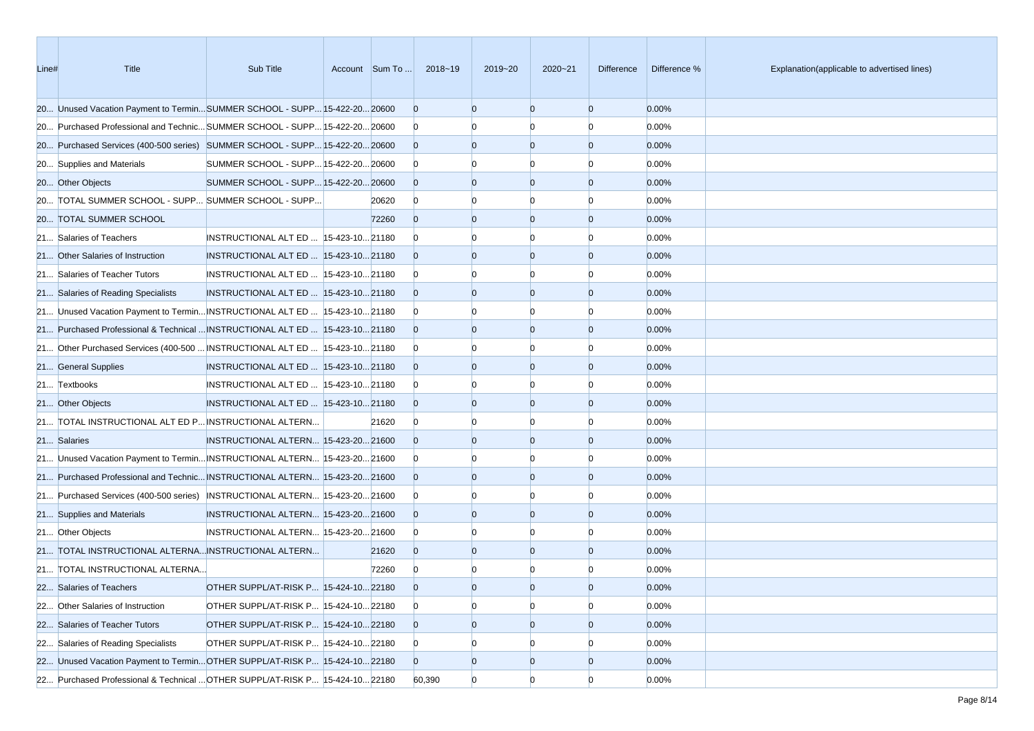| Line# | Title                                                                         | Sub Title                              |       | Account Sum To  2018~19 | 2019~20        | $2020 - 21$    | Difference     | Difference % | Explanation(applicable to advertised lines) |
|-------|-------------------------------------------------------------------------------|----------------------------------------|-------|-------------------------|----------------|----------------|----------------|--------------|---------------------------------------------|
|       | 20 Unused Vacation Payment to TerminSUMMER SCHOOL - SUPP 15-422-20 20600      |                                        |       | $\overline{0}$          | $\Omega$       | $\overline{0}$ | $\overline{0}$ | 0.00%        |                                             |
|       | 20 Purchased Professional and Technic SUMMER SCHOOL - SUPP 15-422-20 20600    |                                        |       | $\overline{0}$          |                | n              | $\Omega$       | 0.00%        |                                             |
|       | 20 Purchased Services (400-500 series) SUMMER SCHOOL - SUPP 15-422-20 20600   |                                        |       | $\overline{0}$          | $\overline{0}$ | $\overline{0}$ | $\overline{0}$ | 0.00%        |                                             |
|       | 20 Supplies and Materials                                                     | SUMMER SCHOOL - SUPP 15-422-20 20600   |       | $\overline{0}$          |                |                | $\Omega$       | 0.00%        |                                             |
|       | 20 Other Objects                                                              | SUMMER SCHOOL - SUPP 15-422-20 20600   |       | $\overline{0}$          | $\Omega$       | $\overline{0}$ | $\overline{0}$ | 0.00%        |                                             |
|       | 20 TOTAL SUMMER SCHOOL - SUPP SUMMER SCHOOL - SUPP                            |                                        | 20620 | $\overline{0}$          | n              | n              | $\Omega$       | 0.00%        |                                             |
|       | 20 TOTAL SUMMER SCHOOL                                                        |                                        | 72260 | $\overline{0}$          | $\overline{0}$ | $\overline{0}$ | $\overline{0}$ | 0.00%        |                                             |
|       | 21 Salaries of Teachers                                                       | INSTRUCTIONAL ALT ED   15-423-10 21180 |       | $\overline{0}$          |                |                | $\Omega$       | 0.00%        |                                             |
|       | 21 Other Salaries of Instruction                                              | INSTRUCTIONAL ALT ED  15-423-10 21180  |       | $\overline{0}$          | $\Omega$       | $\overline{0}$ | $\overline{0}$ | 0.00%        |                                             |
|       | 21 Salaries of Teacher Tutors                                                 | INSTRUCTIONAL ALT ED   15-423-10 21180 |       | $\overline{0}$          |                | n              | $\Omega$       | 0.00%        |                                             |
|       | 21 Salaries of Reading Specialists                                            | INSTRUCTIONAL ALT ED  15-423-10 21180  |       | $\overline{0}$          | $\Omega$       | $\overline{0}$ | $\overline{0}$ | 0.00%        |                                             |
|       | 21 Unused Vacation Payment to Termin INSTRUCTIONAL ALT ED  15-423-10 21180    |                                        |       | $\overline{0}$          |                | n              | $\Omega$       | 0.00%        |                                             |
|       | 21 Purchased Professional & Technical  INSTRUCTIONAL ALT ED   15-423-10 21180 |                                        |       | $\overline{0}$          | $\Omega$       | $\overline{0}$ | $\overline{0}$ | 0.00%        |                                             |
|       | 21 Other Purchased Services (400-500  INSTRUCTIONAL ALT ED   15-423-10 21180  |                                        |       | $\overline{0}$          |                | n              | $\Omega$       | 0.00%        |                                             |
|       | 21 General Supplies                                                           | INSTRUCTIONAL ALT ED  15-423-10 21180  |       | $\overline{0}$          | $\overline{0}$ | $\overline{0}$ | $\overline{0}$ | 0.00%        |                                             |
|       | 21 Textbooks                                                                  | INSTRUCTIONAL ALT ED  15-423-10 21180  |       | $\overline{0}$          |                | n              | $\Omega$       | 0.00%        |                                             |
|       | 21 Other Objects                                                              | INSTRUCTIONAL ALT ED  15-423-10 21180  |       | $\overline{0}$          | $\Omega$       | $\overline{0}$ | $\overline{0}$ | 0.00%        |                                             |
|       | 21 TOTAL INSTRUCTIONAL ALT ED P INSTRUCTIONAL ALTERN                          |                                        | 21620 | $\overline{0}$          |                | n              | $\Omega$       | 0.00%        |                                             |
|       | 21 Salaries                                                                   | INSTRUCTIONAL ALTERN 15-423-20 21600   |       | $\Omega$                | $\overline{0}$ | $\overline{0}$ | $\overline{0}$ | 0.00%        |                                             |
|       | 21 Unused Vacation Payment to Termin INSTRUCTIONAL ALTERN 15-423-20 21600     |                                        |       | $\overline{0}$          |                | n              | $\Omega$       | 0.00%        |                                             |
|       | 21 Purchased Professional and Technic INSTRUCTIONAL ALTERN 15-423-20 21600    |                                        |       | $\overline{0}$          | $\Omega$       | $\overline{0}$ | $\overline{0}$ | 0.00%        |                                             |
|       | 21 Purchased Services (400-500 series) INSTRUCTIONAL ALTERN 15-423-20 21600   |                                        |       | $\bf{0}$                |                | n              | $\Omega$       | 0.00%        |                                             |
|       | 21 Supplies and Materials                                                     | INSTRUCTIONAL ALTERN 15-423-20 21600   |       | $\overline{0}$          | $\overline{0}$ | $\overline{0}$ | $\overline{0}$ | 0.00%        |                                             |
|       | 21 Other Objects                                                              | INSTRUCTIONAL ALTERN 15-423-20 21600   |       | $\overline{0}$          |                | n              | $\Omega$       | 0.00%        |                                             |
|       | 21 TOTAL INSTRUCTIONAL ALTERNA INSTRUCTIONAL ALTERN                           |                                        | 21620 | $\overline{0}$          | $\overline{0}$ | $\overline{0}$ | $\overline{0}$ | 0.00%        |                                             |
|       | 21 TOTAL INSTRUCTIONAL ALTERNA                                                |                                        | 72260 | $\overline{0}$          |                |                | O              | 0.00%        |                                             |
|       | 22 Salaries of Teachers                                                       | OTHER SUPPL/AT-RISK P 15-424-10 22180  |       | $\Omega$                | $\Omega$       | $\Omega$       | $\Omega$       | 0.00%        |                                             |
|       | 22 Other Salaries of Instruction                                              | OTHER SUPPL/AT-RISK P 15-424-10 22180  |       | $\overline{0}$          | $\overline{0}$ | $\overline{0}$ | $\overline{0}$ | 0.00%        |                                             |
|       | 22 Salaries of Teacher Tutors                                                 | OTHER SUPPL/AT-RISK P 15-424-10 22180  |       | $\overline{0}$          | $\overline{0}$ | $\overline{0}$ | $\overline{0}$ | 0.00%        |                                             |
|       | 22 Salaries of Reading Specialists                                            | OTHER SUPPL/AT-RISK P 15-424-10 22180  |       | $\overline{0}$          | $\overline{0}$ | $\Omega$       | $\overline{0}$ | 0.00%        |                                             |
|       | 22 Unused Vacation Payment to Termin OTHER SUPPL/AT-RISK P 15-424-10 22180    |                                        |       | $\overline{0}$          | $\overline{0}$ | $\overline{0}$ | $\mathbf{0}$   | 0.00%        |                                             |
|       | 22 Purchased Professional & Technical  OTHER SUPPL/AT-RISK P 15-424-10 22180  |                                        |       | 60,390                  | $\overline{0}$ | $\Omega$       | $\overline{0}$ | 0.00%        |                                             |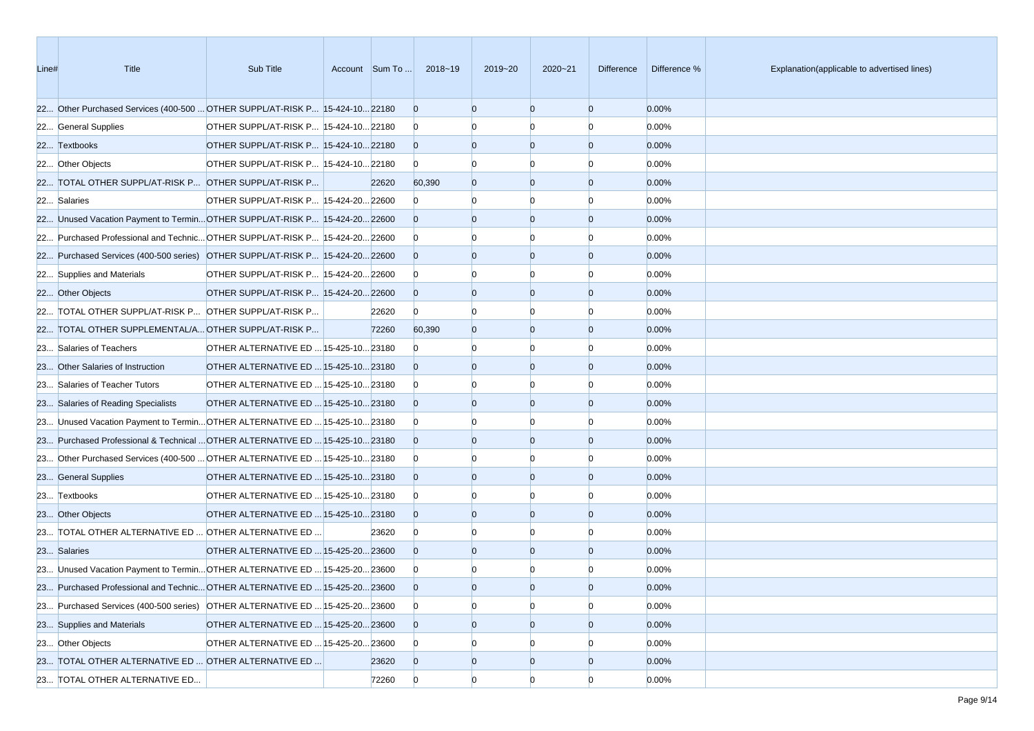| Line# | <b>Title</b>                                                                 | Sub Title                             | Account Sum To | 2018~19        | 2019~20        | $2020 - 21$    | Difference     | Difference % | Explanation(applicable to advertised lines) |
|-------|------------------------------------------------------------------------------|---------------------------------------|----------------|----------------|----------------|----------------|----------------|--------------|---------------------------------------------|
|       | 22 Other Purchased Services (400-500  OTHER SUPPL/AT-RISK P 15-424-10 22180  |                                       |                | $\overline{0}$ | $\Omega$       | $\overline{0}$ | $\overline{0}$ | 0.00%        |                                             |
|       | 22 General Supplies                                                          | OTHER SUPPL/AT-RISK P 15-424-10 22180 |                | $\overline{0}$ |                | $\Omega$       | $\Omega$       | 0.00%        |                                             |
|       | 22 Textbooks                                                                 | OTHER SUPPL/AT-RISK P 15-424-10 22180 |                | $\overline{0}$ | $\Omega$       | $\overline{0}$ | $\overline{0}$ | 0.00%        |                                             |
|       | 22 Other Objects                                                             | OTHER SUPPL/AT-RISK P 15-424-10 22180 |                | $\overline{0}$ |                |                | n              | 0.00%        |                                             |
|       | 22 TOTAL OTHER SUPPL/AT-RISK P OTHER SUPPL/AT-RISK P                         |                                       | 22620          | 60,390         | $\Omega$       | $\overline{0}$ | $\overline{0}$ | 0.00%        |                                             |
|       | 22 Salaries                                                                  | OTHER SUPPL/AT-RISK P 15-424-20 22600 |                | $\overline{0}$ |                | $\Omega$       | n              | 0.00%        |                                             |
|       | 22 Unused Vacation Payment to TerminOTHER SUPPL/AT-RISK P 15-424-2022600     |                                       |                | $\overline{0}$ | $\Omega$       | $\overline{0}$ | $\overline{0}$ | 0.00%        |                                             |
|       | 22 Purchased Professional and Technic OTHER SUPPL/AT-RISK P 15-424-20 22600  |                                       |                | $\overline{0}$ |                | $\Omega$       | n              | 0.00%        |                                             |
|       | 22 Purchased Services (400-500 series) OTHER SUPPL/AT-RISK P 15-424-20 22600 |                                       |                | $\overline{0}$ | $\Omega$       | $\overline{0}$ | $\overline{0}$ | 0.00%        |                                             |
|       | 22 Supplies and Materials                                                    | OTHER SUPPL/AT-RISK P 15-424-20 22600 |                | $\overline{0}$ |                | $\Omega$       | n              | 0.00%        |                                             |
|       | 22 Other Objects                                                             | OTHER SUPPL/AT-RISK P 15-424-20 22600 |                | $\overline{0}$ | $\Omega$       | $\overline{0}$ | $\overline{0}$ | 0.00%        |                                             |
|       | 22 TOTAL OTHER SUPPL/AT-RISK P OTHER SUPPL/AT-RISK P                         |                                       | 22620          | $\overline{0}$ | n              | n              | n              | 0.00%        |                                             |
|       | 22 TOTAL OTHER SUPPLEMENTAL/A OTHER SUPPL/AT-RISK P                          |                                       | 72260          | 60,390         | $\Omega$       | $\overline{0}$ | $\overline{0}$ | 0.00%        |                                             |
|       | 23 Salaries of Teachers                                                      | OTHER ALTERNATIVE ED  15-425-10 23180 |                | $\overline{0}$ |                | $\Omega$       | n              | 0.00%        |                                             |
|       | 23 Other Salaries of Instruction                                             | OTHER ALTERNATIVE ED  15-425-10 23180 |                | $\Omega$       | $\Omega$       | $\overline{0}$ | $\overline{0}$ | 0.00%        |                                             |
|       | 23 Salaries of Teacher Tutors                                                | OTHER ALTERNATIVE ED  15-425-10 23180 |                | $\overline{0}$ |                |                | n              | 0.00%        |                                             |
|       | 23 Salaries of Reading Specialists                                           | OTHER ALTERNATIVE ED  15-425-10 23180 |                | $\overline{0}$ | $\Omega$       | $\overline{0}$ | $\overline{0}$ | 0.00%        |                                             |
|       | 23 Unused Vacation Payment to Termin OTHER ALTERNATIVE ED  15-425-10 23180   |                                       |                | $\overline{0}$ |                | $\Omega$       | n              | 0.00%        |                                             |
|       | 23 Purchased Professional & Technical  OTHER ALTERNATIVE ED  15-425-10 23180 |                                       |                | $\overline{0}$ | $\Omega$       | $\overline{0}$ | $\overline{0}$ | 0.00%        |                                             |
|       | 23 Other Purchased Services (400-500  OTHER ALTERNATIVE ED  15-425-10 23180  |                                       |                | $\overline{0}$ |                | $\Omega$       | n              | 0.00%        |                                             |
|       | 23 General Supplies                                                          | OTHER ALTERNATIVE ED  15-425-10 23180 |                | $\overline{0}$ | $\Omega$       | $\overline{0}$ | $\overline{0}$ | 0.00%        |                                             |
|       | 23 Textbooks                                                                 | OTHER ALTERNATIVE ED  15-425-10 23180 |                | $\overline{0}$ |                | n              | n              | 0.00%        |                                             |
|       | 23 Other Objects                                                             | OTHER ALTERNATIVE ED  15-425-10 23180 |                | $\overline{0}$ | $\Omega$       | $\Omega$       | $\overline{0}$ | 0.00%        |                                             |
|       | 23 TOTAL OTHER ALTERNATIVE ED  OTHER ALTERNATIVE ED                          |                                       | 23620          | $\overline{0}$ |                | $\Omega$       | n              | 0.00%        |                                             |
|       | 23 Salaries                                                                  | OTHER ALTERNATIVE ED  15-425-20 23600 |                | $\overline{0}$ | $\Omega$       | $\overline{0}$ | $\overline{0}$ | 0.00%        |                                             |
|       | 23 Unused Vacation Payment to Termin OTHER ALTERNATIVE ED  15-425-20 23600   |                                       |                | $\mathbf{0}$   |                |                |                | 0.00%        |                                             |
|       | 23 Purchased Professional and Technic OTHER ALTERNATIVE ED  15-425-20 23600  |                                       |                | $\Omega$       |                | $\Omega$       | $\Omega$       | 0.00%        |                                             |
|       | 23 Purchased Services (400-500 series) OTHER ALTERNATIVE ED  15-425-20 23600 |                                       |                | $\overline{0}$ | $\Omega$       | $\overline{0}$ | $\Omega$       | 0.00%        |                                             |
|       | 23 Supplies and Materials                                                    | OTHER ALTERNATIVE ED  15-425-20 23600 |                | $\overline{0}$ | $\overline{0}$ | $\overline{0}$ | $\overline{0}$ | 0.00%        |                                             |
|       | 23 Other Objects                                                             | OTHER ALTERNATIVE ED  15-425-20 23600 |                | $\overline{0}$ | $\Omega$       | $\Omega$       |                | 0.00%        |                                             |
|       | 23 TOTAL OTHER ALTERNATIVE ED  OTHER ALTERNATIVE ED                          |                                       | 23620          | $\overline{0}$ | $\overline{0}$ | $\overline{0}$ | $\overline{0}$ | 0.00%        |                                             |
|       | 23 TOTAL OTHER ALTERNATIVE ED                                                |                                       | 72260          | $\overline{0}$ | $\overline{0}$ | $\overline{0}$ | $\Omega$       | 0.00%        |                                             |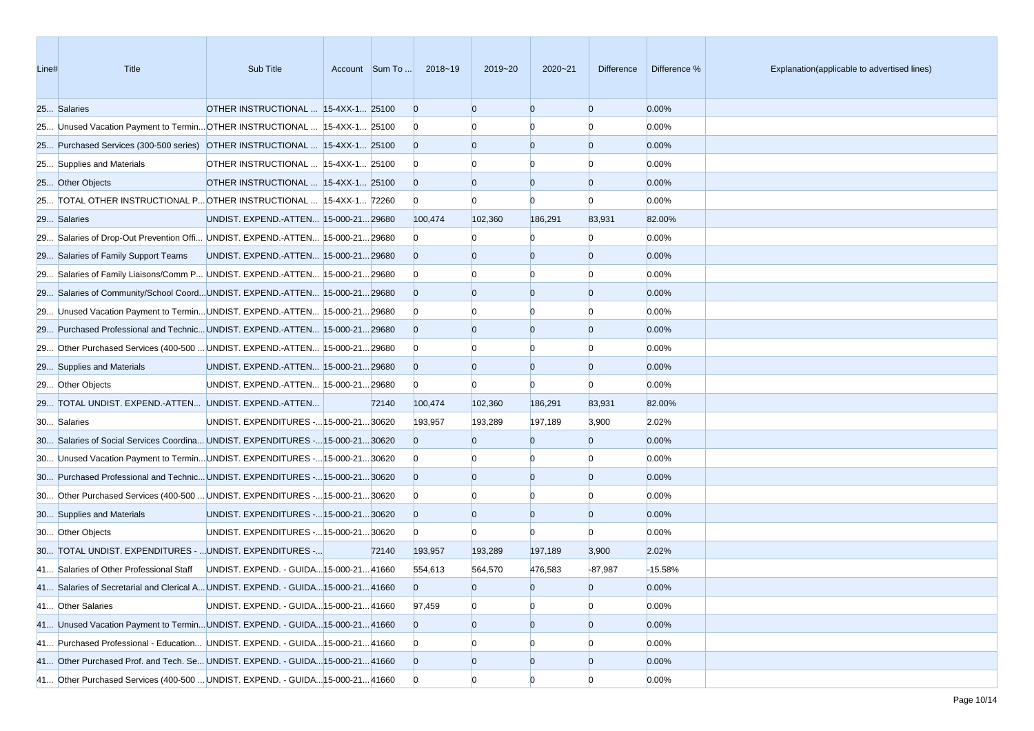| Line# | <b>Title</b>                                                                      | Sub Title                               | Account Sum To | 2018~19        | 2019~20        | $2020 - 21$    | <b>Difference</b> | Difference % | Explanation(applicable to advertised lines) |
|-------|-----------------------------------------------------------------------------------|-----------------------------------------|----------------|----------------|----------------|----------------|-------------------|--------------|---------------------------------------------|
|       | 25 Salaries                                                                       | OTHER INSTRUCTIONAL  15-4XX-1 25100     |                | $\overline{0}$ | $\Omega$       | $\Omega$       | $\overline{0}$    | 0.00%        |                                             |
|       | 25 Unused Vacation Payment to Termin OTHER INSTRUCTIONAL  15-4XX-1 25100          |                                         |                | $\mathbf{0}$   |                | n              | $\Omega$          | 0.00%        |                                             |
|       | 25 Purchased Services (300-500 series) OTHER INSTRUCTIONAL  15-4XX-1 25100        |                                         |                | $\overline{0}$ | $\Omega$       | $\overline{0}$ | $\overline{0}$    | 0.00%        |                                             |
|       | 25 Supplies and Materials                                                         | OTHER INSTRUCTIONAL  15-4XX-1 25100     |                | $\bf{0}$       |                |                |                   | 0.00%        |                                             |
|       | 25 Other Objects                                                                  | OTHER INSTRUCTIONAL  15-4XX-1 25100     |                | $\overline{0}$ | $\Omega$       | $\Omega$       | $\overline{0}$    | 0.00%        |                                             |
|       | 25 TOTAL OTHER INSTRUCTIONAL P OTHER INSTRUCTIONAL  15-4XX-1 72260                |                                         |                | $\overline{0}$ | $\Omega$       | $\Omega$       | $\Omega$          | 0.00%        |                                             |
|       | 29 Salaries                                                                       | UNDIST. EXPEND.-ATTEN 15-000-2129680    |                | 100,474        | 102,360        | 186,291        | 83,931            | 82.00%       |                                             |
|       | 29 Salaries of Drop-Out Prevention Offi UNDIST. EXPEND.-ATTEN 15-000-21 29680     |                                         |                | $\overline{0}$ |                | $\Omega$       | $\Omega$          | 0.00%        |                                             |
|       | 29 Salaries of Family Support Teams                                               | UNDIST. EXPEND.-ATTEN 15-000-21 29680   |                | $\overline{0}$ |                | $\Omega$       | $\overline{0}$    | 0.00%        |                                             |
|       | 29 Salaries of Family Liaisons/Comm P UNDIST. EXPEND.-ATTEN 15-000-21 29680       |                                         |                | $\overline{0}$ |                |                | $\Omega$          | 0.00%        |                                             |
|       | 29 Salaries of Community/School CoordUNDIST. EXPEND.-ATTEN 15-000-2129680         |                                         |                | $\overline{0}$ | $\Omega$       | $\Omega$       | $\overline{0}$    | 0.00%        |                                             |
|       | 29 Unused Vacation Payment to Termin UNDIST. EXPEND.-ATTEN 15-000-21 29680        |                                         |                | $\overline{0}$ |                |                | $\Omega$          | 0.00%        |                                             |
|       | 29 Purchased Professional and Technic UNDIST. EXPEND.-ATTEN 15-000-21 29680       |                                         |                | $\overline{0}$ | $\Omega$       | $\Omega$       | $\overline{0}$    | 0.00%        |                                             |
|       | 29 Other Purchased Services (400-500  UNDIST. EXPEND.-ATTEN  15-000-21 29680      |                                         |                | $\overline{0}$ |                | n              | $\Omega$          | 0.00%        |                                             |
|       | 29 Supplies and Materials                                                         | UNDIST. EXPEND.-ATTEN 15-000-21 29680   |                | $\overline{0}$ | $\Omega$       | $\overline{0}$ | $\overline{0}$    | 0.00%        |                                             |
|       | 29 Other Objects                                                                  | UNDIST. EXPEND.-ATTEN  15-000-21 29680  |                | $\overline{0}$ | $\Omega$       | $\Omega$       | $\Omega$          | 0.00%        |                                             |
|       | 29 TOTAL UNDIST. EXPEND.-ATTEN UNDIST. EXPEND.-ATTEN                              |                                         | 72140          | 100,474        | 102,360        | 186,291        | 83,931            | 82.00%       |                                             |
|       | 30 Salaries                                                                       | UNDIST. EXPENDITURES - 15-000-21 30620  |                | 193,957        | 193,289        | 197,189        | 3,900             | 2.02%        |                                             |
|       | 30 Salaries of Social Services Coordina UNDIST. EXPENDITURES - 15-000-21 30620    |                                         |                | $\Omega$       | $\Omega$       | $\overline{0}$ | $\overline{0}$    | 0.00%        |                                             |
|       | 30 Unused Vacation Payment to Termin UNDIST. EXPENDITURES - 15-000-21 30620       |                                         |                | $\bf{0}$       |                |                | $\Omega$          | 0.00%        |                                             |
|       | 30 Purchased Professional and Technic UNDIST. EXPENDITURES - 15-000-21 30620      |                                         |                | $\overline{0}$ | $\Omega$       | $\Omega$       | $\overline{0}$    | 0.00%        |                                             |
|       | 30 Other Purchased Services (400-500  UNDIST. EXPENDITURES - 15-000-21 30620      |                                         |                | $\overline{0}$ |                |                | $\Omega$          | 0.00%        |                                             |
|       | 30 Supplies and Materials                                                         | UNDIST. EXPENDITURES - 15-000-21 30620  |                | $\overline{0}$ | $\Omega$       | $\Omega$       | $\overline{0}$    | 0.00%        |                                             |
|       | 30 Other Objects                                                                  | UNDIST. EXPENDITURES - 15-000-21 30620  |                | $\overline{0}$ | $\Omega$       | $\Omega$       | $\Omega$          | 0.00%        |                                             |
|       | 30 TOTAL UNDIST. EXPENDITURES -  UNDIST. EXPENDITURES -                           |                                         | 72140          | 193,957        | 193,289        | 197,189        | 3,900             | 2.02%        |                                             |
|       | 41 Salaries of Other Professional Staff                                           | UNDIST. EXPEND. - GUIDA 15-000-21 41660 |                | 554,613        | 564,570        | 476,583        | $-87,987$         | $-15.58%$    |                                             |
|       | 41 Salaries of Secretarial and Clerical A UNDIST. EXPEND. - GUIDA 15-000-21 41660 |                                         |                | $\overline{0}$ | $\overline{0}$ | $\overline{0}$ | $\overline{0}$    | 0.00%        |                                             |
|       | 41 Other Salaries                                                                 | UNDIST. EXPEND. - GUIDA 15-000-21 41660 |                | 97,459         | $\overline{0}$ | $\overline{0}$ | $\overline{0}$    | 0.00%        |                                             |
|       | 41 Unused Vacation Payment to Termin UNDIST. EXPEND. - GUIDA 15-000-21 41660      |                                         |                | $\overline{0}$ | $\overline{0}$ | $\overline{0}$ | $\overline{0}$    | 0.00%        |                                             |
|       | 41 Purchased Professional - Education UNDIST. EXPEND. - GUIDA 15-000-21 41660     |                                         |                | $\mathbf{0}$   |                |                | $\Omega$          | 0.00%        |                                             |
|       | 41 Other Purchased Prof. and Tech. Se UNDIST. EXPEND. - GUIDA 15-000-21 41660     |                                         |                | $\overline{0}$ | $\overline{0}$ | $\overline{0}$ | $\overline{0}$    | 0.00%        |                                             |
|       | 41 Other Purchased Services (400-500  UNDIST. EXPEND. - GUIDA 15-000-21 41660     |                                         |                | $\overline{0}$ | $\Omega$       | $\overline{0}$ | $\overline{0}$    | 0.00%        |                                             |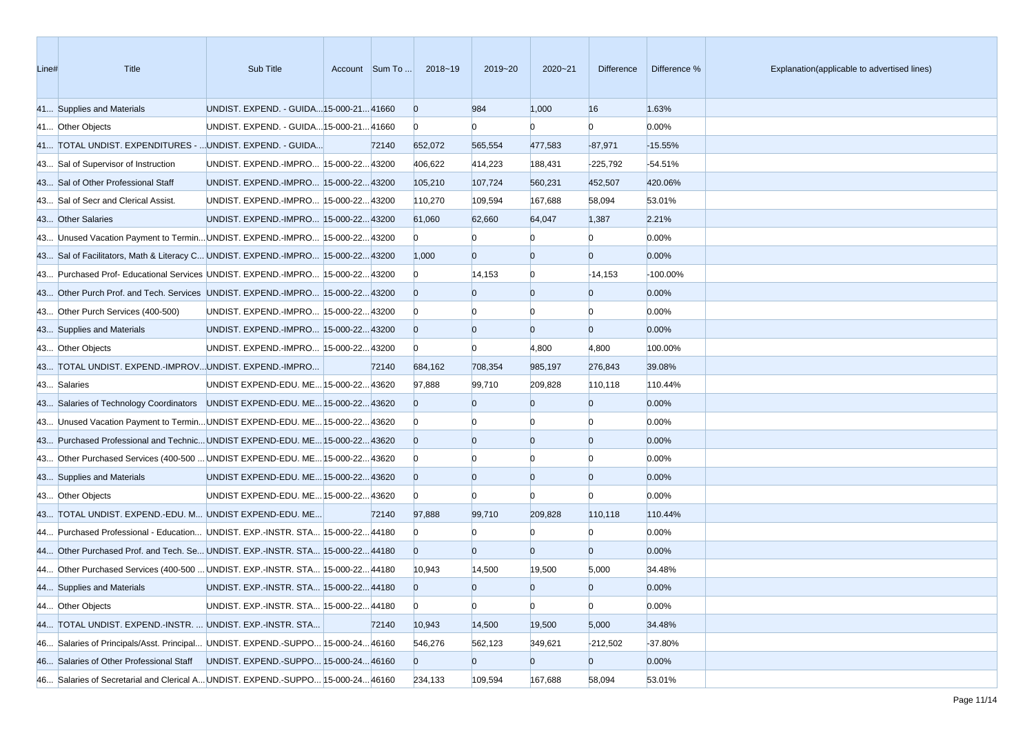| Line# | <b>Title</b>                                                                    | Sub Title                               | Account Sum To | 2018~19        | 2019~20        | $2020 - 21$    | <b>Difference</b> | Difference % | Explanation(applicable to advertised lines) |
|-------|---------------------------------------------------------------------------------|-----------------------------------------|----------------|----------------|----------------|----------------|-------------------|--------------|---------------------------------------------|
|       | 41 Supplies and Materials                                                       | UNDIST. EXPEND. - GUIDA 15-000-21 41660 |                | $\overline{0}$ | 984            | 1,000          | 16                | 1.63%        |                                             |
|       | 41 Other Objects                                                                | UNDIST. EXPEND. - GUIDA 15-000-21 41660 |                | $\mathbf{0}$   | $\mathbf{0}$   | $\Omega$       | $\Omega$          | 0.00%        |                                             |
|       | 41 TOTAL UNDIST. EXPENDITURES -  UNDIST. EXPEND. - GUIDA                        |                                         | 72140          | 652,072        | 565,554        | 477,583        | $-87,971$         | $-15.55%$    |                                             |
|       | 43 Sal of Supervisor of Instruction                                             | UNDIST. EXPEND.-IMPRO 15-000-22 43200   |                | 406,622        | 414,223        | 188,431        | $-225,792$        | $-54.51%$    |                                             |
|       | 43 Sal of Other Professional Staff                                              | UNDIST. EXPEND.-IMPRO 15-000-2243200    |                | 105,210        | 107,724        | 560,231        | 452,507           | 420.06%      |                                             |
|       | 43 Sal of Secr and Clerical Assist.                                             | UNDIST. EXPEND.-IMPRO 15-000-2243200    |                | 110,270        | 109,594        | 167,688        | 58,094            | 53.01%       |                                             |
|       | 43 Other Salaries                                                               | UNDIST. EXPEND.-IMPRO 15-000-2243200    |                | 61,060         | 62,660         | 64,047         | 1,387             | 2.21%        |                                             |
|       | 43 Unused Vacation Payment to Termin UNDIST. EXPEND.-IMPRO 15-000-22 43200      |                                         |                | $\mathbf{0}$   | $\Omega$       |                | $\Omega$          | 0.00%        |                                             |
|       | 43 Sal of Facilitators, Math & Literacy C UNDIST. EXPEND.-IMPRO 15-000-22 43200 |                                         |                | 1,000          | $\Omega$       | $\overline{0}$ | $\overline{0}$    | 0.00%        |                                             |
|       | 43 Purchased Prof- Educational Services UNDIST. EXPEND.-IMPRO 15-000-22 43200   |                                         |                | $\mathbf{0}$   | 14,153         | $\overline{0}$ | $-14,153$         | $-100.00%$   |                                             |
|       | 43 Other Purch Prof. and Tech. Services UNDIST. EXPEND.-IMPRO 15-000-22 43200   |                                         |                | $\overline{0}$ | $\Omega$       | $\overline{0}$ | $\overline{0}$    | 0.00%        |                                             |
|       | 43 Other Purch Services (400-500)                                               | UNDIST. EXPEND.-IMPRO 15-000-22 43200   |                | $\mathbf{0}$   |                | $\Omega$       | $\Omega$          | 0.00%        |                                             |
|       | 43 Supplies and Materials                                                       | UNDIST. EXPEND.-IMPRO 15-000-22 43200   |                | $\overline{0}$ | $\overline{0}$ | $\overline{0}$ | $\overline{0}$    | 0.00%        |                                             |
|       | 43 Other Objects                                                                | UNDIST. EXPEND.-IMPRO 15-000-22 43200   |                | $\mathbf{0}$   | $\Omega$       | 4,800          | 4,800             | 100.00%      |                                             |
|       | 43 TOTAL UNDIST. EXPEND.-IMPROVUNDIST. EXPEND.-IMPRO                            |                                         | 72140          | 684,162        | 708,354        | 985,197        | 276,843           | 39.08%       |                                             |
|       | 43 Salaries                                                                     | UNDIST EXPEND-EDU. ME 15-000-22 43620   |                | 97,888         | 99,710         | 209,828        | 110,118           | 110.44%      |                                             |
|       | 43 Salaries of Technology Coordinators UNDIST EXPEND-EDU. ME 15-000-22 43620    |                                         |                | $\overline{0}$ |                | $\Omega$       | $\overline{0}$    | 0.00%        |                                             |
|       | 43 Unused Vacation Payment to Termin UNDIST EXPEND-EDU. ME 15-000-22 43620      |                                         |                | $\mathbf{0}$   |                |                | $\Omega$          | 0.00%        |                                             |
|       | 43 Purchased Professional and Technic UNDIST EXPEND-EDU. ME 15-000-22 43620     |                                         |                | $\overline{0}$ | $\Omega$       | $\overline{0}$ | $\overline{0}$    | 0.00%        |                                             |
|       | 43 Other Purchased Services (400-500  UNDIST EXPEND-EDU. ME 15-000-22 43620     |                                         |                | $\mathbf{0}$   |                | $\Omega$       | $\Omega$          | 0.00%        |                                             |
|       | 43 Supplies and Materials                                                       | UNDIST EXPEND-EDU. ME 15-000-22 43620   |                | $\overline{0}$ | $\Omega$       | $\overline{0}$ | $\overline{0}$    | 0.00%        |                                             |
|       | 43 Other Objects                                                                | UNDIST EXPEND-EDU. ME 15-000-22 43620   |                | $\mathbf{0}$   | $\Omega$       | $\Omega$       | $\Omega$          | 0.00%        |                                             |
|       | 43 TOTAL UNDIST. EXPEND.-EDU. M UNDIST EXPEND-EDU. ME                           |                                         | 72140          | 97,888         | 99,710         | 209,828        | 110,118           | 110.44%      |                                             |
|       | 44 Purchased Professional - Education UNDIST. EXP.-INSTR. STA 15-000-22 44180   |                                         |                | $\mathbf{0}$   | n              | $\Omega$       | $\Omega$          | 0.00%        |                                             |
|       | 44 Other Purchased Prof. and Tech. Se UNDIST. EXP.-INSTR. STA 15-000-22 44180   |                                         |                | $\Omega$       | $\Omega$       | $\overline{0}$ | $\overline{0}$    | 0.00%        |                                             |
|       | 44 Other Purchased Services (400-500  UNDIST. EXP.-INSTR. STA 15-000-22 44180   |                                         |                | 10,943         | 14,500         | 19,500         | 5,000             | 34.48%       |                                             |
|       | 44 Supplies and Materials                                                       | UNDIST. EXP.-INSTR. STA 15-000-22 44180 |                | $\Omega$       | $\overline{0}$ | $\overline{0}$ | $\overline{0}$    | 0.00%        |                                             |
|       | 44 Other Objects                                                                | UNDIST. EXP.-INSTR. STA 15-000-2244180  |                | $\mathbf{0}$   | $\bf{0}$       | $\overline{0}$ | $\overline{0}$    | 0.00%        |                                             |
|       | 44 TOTAL UNDIST. EXPEND.-INSTR.  UNDIST. EXP.-INSTR. STA                        |                                         | 72140          | 10,943         | 14,500         | 19,500         | 5,000             | 34.48%       |                                             |
|       | 46 Salaries of Principals/Asst. Principal UNDIST. EXPEND.-SUPPO 15-000-24 46160 |                                         |                | 546,276        | 562,123        | 349,621        | $-212,502$        | $-37.80%$    |                                             |
|       | 46 Salaries of Other Professional Staff                                         | UNDIST. EXPEND.-SUPPO 15-000-24 46160   |                | $\overline{0}$ | $\overline{0}$ | $\overline{0}$ | $\overline{0}$    | 0.00%        |                                             |
|       | 46 Salaries of Secretarial and Clerical A UNDIST. EXPEND.-SUPPO 15-000-2446160  |                                         |                | 234,133        | 109,594        | 167,688        | 58,094            | 53.01%       |                                             |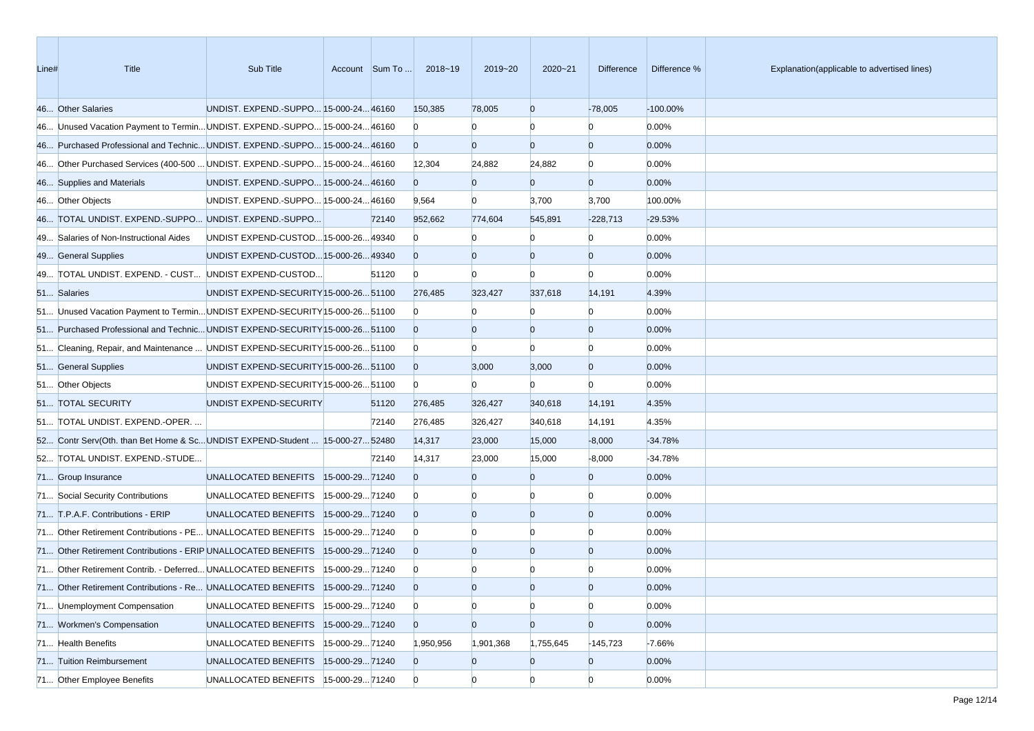| Line# | <b>Title</b>                                                                 | Sub Title                              |                | Account Sum To | 2018~19        | 2019~20        | $2020 - 21$    | Difference     | Difference % | Explanation(applicable to advertised lines) |
|-------|------------------------------------------------------------------------------|----------------------------------------|----------------|----------------|----------------|----------------|----------------|----------------|--------------|---------------------------------------------|
|       | 46 Other Salaries                                                            | UNDIST. EXPEND.-SUPPO 15-000-24 46160  |                |                | 150,385        | 78,005         | $\overline{0}$ | $-78,005$      | $-100.00\%$  |                                             |
|       | 46 Unused Vacation Payment to Termin UNDIST. EXPEND.-SUPPO 15-000-24 46160   |                                        |                |                | $\Omega$       |                | $\Omega$       | $\Omega$       | 0.00%        |                                             |
|       | 46 Purchased Professional and Technic UNDIST. EXPEND.-SUPPO 15-000-24 46160  |                                        |                |                | $\overline{0}$ | $\overline{0}$ | $\overline{0}$ | $\overline{0}$ | 0.00%        |                                             |
|       | 46 Other Purchased Services (400-500  UNDIST. EXPEND.-SUPPO 15-000-24 46160  |                                        |                |                | 12,304         | 24,882         | 24,882         | $\overline{0}$ | 0.00%        |                                             |
|       | 46 Supplies and Materials                                                    | UNDIST. EXPEND.-SUPPO 15-000-24 46160  |                |                | $\Omega$       | $\bf{0}$       | $\mathbf{0}$   | $\overline{0}$ | 0.00%        |                                             |
|       | 46 Other Objects                                                             | UNDIST. EXPEND.-SUPPO 15-000-24 46160  |                |                | 9,564          | $\bf{0}$       | 3,700          | 3,700          | 100.00%      |                                             |
|       | 46 TOTAL UNDIST. EXPEND.-SUPPO UNDIST. EXPEND.-SUPPO                         |                                        |                | 72140          | 952,662        | 774,604        | 545,891        | $-228,713$     | $-29.53%$    |                                             |
|       | 49 Salaries of Non-Instructional Aides                                       | UNDIST EXPEND-CUSTOD 15-000-26 49340   |                |                | $\Omega$       |                | $\Omega$       | $\Omega$       | 0.00%        |                                             |
|       | 49 General Supplies                                                          | UNDIST EXPEND-CUSTOD 15-000-26 49340   |                |                | $\Omega$       | $\Omega$       | $\overline{0}$ | $\overline{0}$ | 0.00%        |                                             |
|       | 49 TOTAL UNDIST. EXPEND. - CUST UNDIST EXPEND-CUSTOD                         |                                        |                | 51120          | $\overline{0}$ | $\Omega$       | $\Omega$       | $\Omega$       | 0.00%        |                                             |
|       | 51 Salaries                                                                  | UNDIST EXPEND-SECURITY 15-000-26 51100 |                |                | 276,485        | 323,427        | 337,618        | 14,191         | 4.39%        |                                             |
|       | 51 Unused Vacation Payment to Termin UNDIST EXPEND-SECURITY 15-000-26 51100  |                                        |                |                | $\Omega$       |                | $\Omega$       | $\Omega$       | 0.00%        |                                             |
|       | 51 Purchased Professional and Technic UNDIST EXPEND-SECURITY 15-000-26 51100 |                                        |                |                | $\Omega$       | $\Omega$       | $\overline{0}$ | $\overline{0}$ | 0.00%        |                                             |
|       | 51 Cleaning, Repair, and Maintenance  UNDIST EXPEND-SECURITY 15-000-26 51100 |                                        |                |                | $\bf{0}$       |                | $\Omega$       | $\Omega$       | 0.00%        |                                             |
|       | 51 General Supplies                                                          | UNDIST EXPEND-SECURITY 15-000-26 51100 |                |                | $\overline{0}$ | 3,000          | 3,000          | $\overline{0}$ | 0.00%        |                                             |
|       | 51 Other Objects                                                             | UNDIST EXPEND-SECURITY 15-000-26 51100 |                |                | $\overline{0}$ | $\mathbf{0}$   | $\Omega$       | $\Omega$       | 0.00%        |                                             |
|       | 51 TOTAL SECURITY                                                            | UNDIST EXPEND-SECURITY                 |                | 51120          | 276,485        | 326,427        | 340,618        | 14,191         | 4.35%        |                                             |
|       | 51 TOTAL UNDIST. EXPEND.-OPER.                                               |                                        |                | 72140          | 276,485        | 326,427        | 340,618        | 14,191         | 4.35%        |                                             |
|       | 52 Contr Serv(Oth. than Bet Home & ScUNDIST EXPEND-Student  15-000-27 52480  |                                        |                |                | 14,317         | 23,000         | 15,000         | $-8,000$       | $-34.78%$    |                                             |
|       | 52 TOTAL UNDIST. EXPEND.-STUDE                                               |                                        |                | 72140          | 14,317         | 23,000         | 15,000         | $-8,000$       | $-34.78%$    |                                             |
|       | 71 Group Insurance                                                           | UNALLOCATED BENEFITS  15-000-2971240   |                |                | $\Omega$       | $\Omega$       | $\overline{0}$ | $\overline{0}$ | 0.00%        |                                             |
|       | 71 Social Security Contributions                                             | UNALLOCATED BENEFITS                   | 15-000-2971240 |                | $\bf{0}$       |                | $\Omega$       | $\Omega$       | 0.00%        |                                             |
|       | 71 T.P.A.F. Contributions - ERIP                                             | UNALLOCATED BENEFITS  15-000-2971240   |                |                | $\Omega$       | $\Omega$       | $\overline{0}$ | $\overline{0}$ | 0.00%        |                                             |
|       | 71 Other Retirement Contributions - PE UNALLOCATED BENEFITS                  |                                        | 15-000-2971240 |                | $\overline{0}$ |                | $\Omega$       | $\Omega$       | 0.00%        |                                             |
|       | 71 Other Retirement Contributions - ERIP UNALLOCATED BENEFITS                |                                        | 15-000-2971240 |                | $\Omega$       | $\Omega$       | $\overline{0}$ | $\overline{0}$ | 0.00%        |                                             |
|       | 71 Other Retirement Contrib. - Deferred UNALLOCATED BENEFITS                 |                                        | 15-000-2971240 |                | $\bf{0}$       |                |                |                | 0.00%        |                                             |
|       | 71 Other Retirement Contributions - Re UNALLOCATED BENEFITS  15-000-29 71240 |                                        |                |                | $\Omega$       |                | $\Omega$       | $\Omega$       | 0.00%        |                                             |
|       | 71 Unemployment Compensation                                                 | UNALLOCATED BENEFITS                   | 15-000-2971240 |                | $\overline{0}$ | $\overline{0}$ | $\overline{0}$ | $\overline{0}$ | 0.00%        |                                             |
|       | 71 Workmen's Compensation                                                    | UNALLOCATED BENEFITS                   | 15-000-2971240 |                | $\overline{0}$ | $\overline{0}$ | $\overline{0}$ | $\overline{0}$ | 0.00%        |                                             |
|       | 71 Health Benefits                                                           | UNALLOCATED BENEFITS                   | 15-000-2971240 |                | 1,950,956      | 1,901,368      | 1,755,645      | $-145,723$     | $-7.66%$     |                                             |
|       | 71 Tuition Reimbursement                                                     | UNALLOCATED BENEFITS 15-000-29 71240   |                |                | $\overline{0}$ | $\mathbf{0}$   | $\overline{0}$ | $\overline{0}$ | 0.00%        |                                             |
|       | 71 Other Employee Benefits                                                   | UNALLOCATED BENEFITS   15-000-29 71240 |                |                | $\overline{0}$ | $\overline{0}$ | $\overline{0}$ | $\overline{0}$ | 0.00%        |                                             |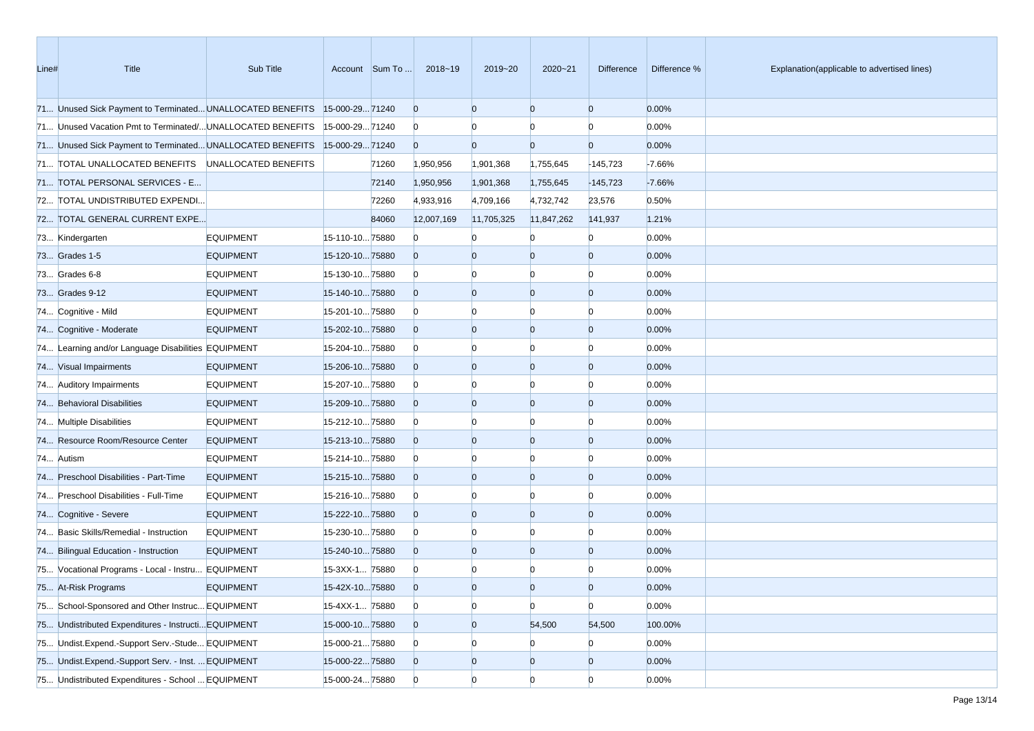| Line# | Title                                                                     | Sub Title        |                 | Account Sum To | 2018~19        | 2019~20        | $2020 - 21$    | <b>Difference</b> | Difference % | Explanation(applicable to advertised lines) |
|-------|---------------------------------------------------------------------------|------------------|-----------------|----------------|----------------|----------------|----------------|-------------------|--------------|---------------------------------------------|
|       | 71 Unused Sick Payment to Terminated UNALLOCATED BENEFITS                 |                  | 15-000-2971240  |                | $\overline{0}$ | $\Omega$       | $\overline{0}$ | $\overline{0}$    | 0.00%        |                                             |
|       | 71 Unused Vacation Pmt to Terminated/ UNALLOCATED BENEFITS                |                  | 15-000-2971240  |                | $\overline{0}$ |                | $\Omega$       | n                 | 0.00%        |                                             |
|       | 71 Unused Sick Payment to Terminated UNALLOCATED BENEFITS 15-000-29 71240 |                  |                 |                | $\overline{0}$ | $\Omega$       | $\overline{0}$ | $\overline{0}$    | 0.00%        |                                             |
|       | 71 TOTAL UNALLOCATED BENEFITS UNALLOCATED BENEFITS                        |                  |                 | 71260          | 1,950,956      | 1,901,368      | 1,755,645      | $-145,723$        | $-7.66%$     |                                             |
|       | 71 TOTAL PERSONAL SERVICES - E                                            |                  |                 | 72140          | 1,950,956      | 1,901,368      | 1,755,645      | $-145,723$        | $-7.66%$     |                                             |
|       | 72 TOTAL UNDISTRIBUTED EXPENDI                                            |                  |                 | 72260          | 4,933,916      | 4,709,166      | 4,732,742      | 23,576            | 0.50%        |                                             |
|       | 72 TOTAL GENERAL CURRENT EXPE                                             |                  |                 | 84060          | 12,007,169     | 11,705,325     | 11,847,262     | 141,937           | 1.21%        |                                             |
|       | 73 Kindergarten                                                           | <b>EQUIPMENT</b> | 15-110-1075880  |                | $\Omega$       |                |                |                   | 0.00%        |                                             |
|       | 73 Grades 1-5                                                             | <b>EQUIPMENT</b> | 15-120-1075880  |                | $\overline{0}$ | $\Omega$       | $\overline{0}$ | $\Omega$          | 0.00%        |                                             |
|       | 73 Grades 6-8                                                             | <b>EQUIPMENT</b> | 15-130-1075880  |                | $\overline{0}$ |                | $\Omega$       | $\Omega$          | 0.00%        |                                             |
|       | 73 Grades 9-12                                                            | <b>EQUIPMENT</b> | 15-140-1075880  |                | $\overline{0}$ | $\overline{0}$ | $\overline{0}$ | $\overline{0}$    | 0.00%        |                                             |
|       | 74 Cognitive - Mild                                                       | <b>EQUIPMENT</b> | 15-201-1075880  |                | $\overline{0}$ |                | $\Omega$       | $\Omega$          | 0.00%        |                                             |
|       | 74 Cognitive - Moderate                                                   | <b>EQUIPMENT</b> | 15-202-1075880  |                | $\overline{0}$ | $\Omega$       | $\overline{0}$ | $\Omega$          | 0.00%        |                                             |
|       | 74 Learning and/or Language Disabilities EQUIPMENT                        |                  | 15-204-1075880  |                | $\overline{0}$ |                | $\Omega$       | n                 | 0.00%        |                                             |
|       | 74 Visual Impairments                                                     | <b>EQUIPMENT</b> | 15-206-1075880  |                | $\overline{0}$ | $\Omega$       | $\overline{0}$ | $\overline{0}$    | 0.00%        |                                             |
|       | 74 Auditory Impairments                                                   | <b>EQUIPMENT</b> | 15-207-1075880  |                | $\overline{0}$ |                | $\Omega$       | $\Omega$          | 0.00%        |                                             |
|       | 74 Behavioral Disabilities                                                | <b>EQUIPMENT</b> | 15-209-1075880  |                | $\overline{0}$ | $\Omega$       | $\overline{0}$ | $\overline{0}$    | 0.00%        |                                             |
|       | 74 Multiple Disabilities                                                  | <b>EQUIPMENT</b> | 15-212-1075880  |                | $\bf{0}$       |                | $\Omega$       | n                 | 0.00%        |                                             |
|       | 74 Resource Room/Resource Center                                          | <b>EQUIPMENT</b> | 15-213-1075880  |                | $\overline{0}$ | $\Omega$       | $\overline{0}$ | $\Omega$          | 0.00%        |                                             |
|       | 74 Autism                                                                 | <b>EQUIPMENT</b> | 15-214-1075880  |                | $\overline{0}$ |                | $\Omega$       |                   | 0.00%        |                                             |
|       | 74 Preschool Disabilities - Part-Time                                     | <b>EQUIPMENT</b> | 15-215-1075880  |                | $\overline{0}$ | $\Omega$       | $\overline{0}$ | $\overline{0}$    | 0.00%        |                                             |
|       | 74 Preschool Disabilities - Full-Time                                     | <b>EQUIPMENT</b> | 15-216-1075880  |                | $\overline{0}$ |                | $\Omega$       | n                 | 0.00%        |                                             |
|       | 74 Cognitive - Severe                                                     | <b>EQUIPMENT</b> | 15-222-1075880  |                | $\overline{0}$ | $\Omega$       | $\overline{0}$ | $\overline{0}$    | 0.00%        |                                             |
|       | 74 Basic Skills/Remedial - Instruction                                    | <b>EQUIPMENT</b> | 15-230-1075880  |                | $\overline{0}$ |                | $\Omega$       |                   | 0.00%        |                                             |
|       | 74 Bilingual Education - Instruction                                      | <b>EQUIPMENT</b> | 15-240-1075880  |                | $\overline{0}$ | $\Omega$       | $\overline{0}$ | $\Omega$          | 0.00%        |                                             |
|       | 75 Vocational Programs - Local - Instru EQUIPMENT                         |                  | 15-3XX-1 75880  |                | $\overline{0}$ |                |                |                   | 0.00%        |                                             |
|       | 75 At-Risk Programs                                                       | <b>EQUIPMENT</b> | 15-42X-1075880  |                | $\Omega$       | $\Omega$       | $\Omega$       | $\Omega$          | 0.00%        |                                             |
|       | 75 School-Sponsored and Other Instruc EQUIPMENT                           |                  | 15-4XX-1 75880  |                | $\overline{0}$ | $\overline{0}$ | $\overline{0}$ | $\overline{0}$    | 0.00%        |                                             |
|       | 75 Undistributed Expenditures - Instructi EQUIPMENT                       |                  | 15-000-1075880  |                | $\overline{0}$ | $\overline{0}$ | 54,500         | 54,500            | 100.00%      |                                             |
|       | 75 Undist.Expend.-Support Serv.-Stude EQUIPMENT                           |                  | 15-000-2175880  |                | $\overline{0}$ | $\overline{0}$ | $\bf{0}$       | $\Omega$          | 0.00%        |                                             |
|       | 75 Undist.Expend.-Support Serv. - Inst.  EQUIPMENT                        |                  | 15-000-2275880  |                | $\overline{0}$ | $\overline{0}$ | $\mathbf{0}$   | $\bf{0}$          | 0.00%        |                                             |
|       | 75 Undistributed Expenditures - School  EQUIPMENT                         |                  | 15-000-24 75880 |                | $\overline{0}$ | $\overline{0}$ | $\overline{0}$ | $\Omega$          | 0.00%        |                                             |